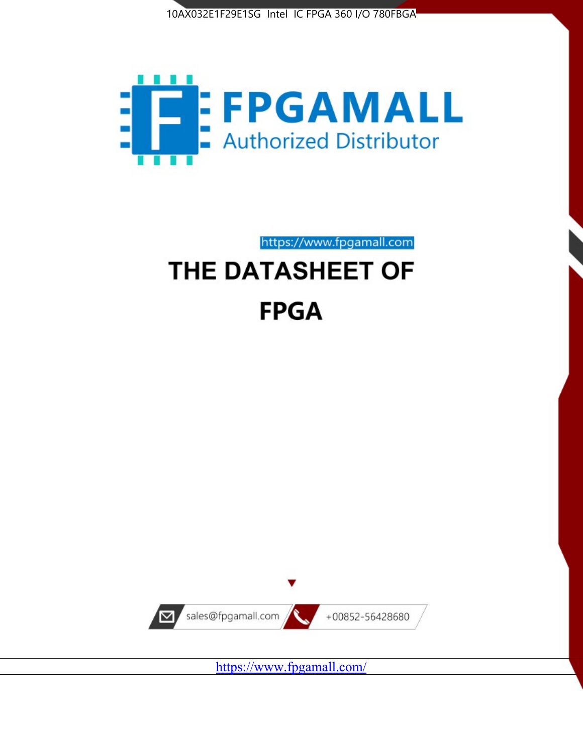



https://www.fpgamall.com

# THE DATASHEET OF **FPGA**



<https://www.fpgamall.com/>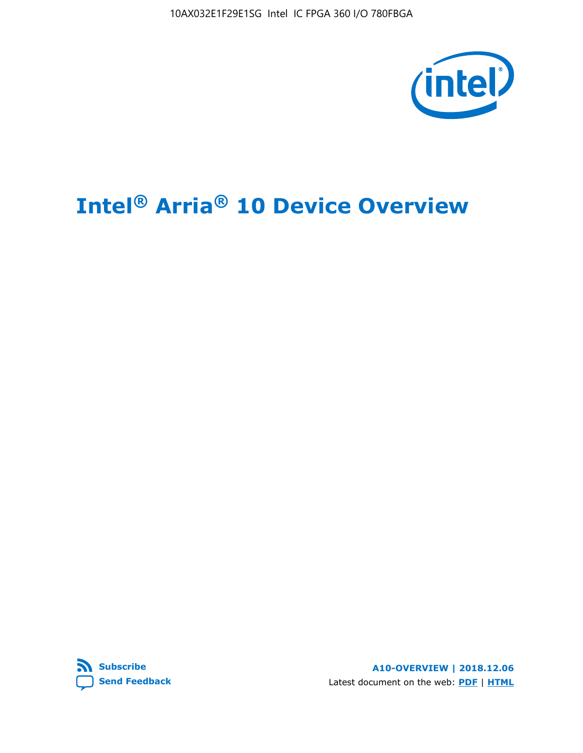10AX032E1F29E1SG Intel IC FPGA 360 I/O 780FBGA



# **Intel® Arria® 10 Device Overview**



**A10-OVERVIEW | 2018.12.06** Latest document on the web: **[PDF](https://www.intel.com/content/dam/www/programmable/us/en/pdfs/literature/hb/arria-10/a10_overview.pdf)** | **[HTML](https://www.intel.com/content/www/us/en/programmable/documentation/sam1403480274650.html)**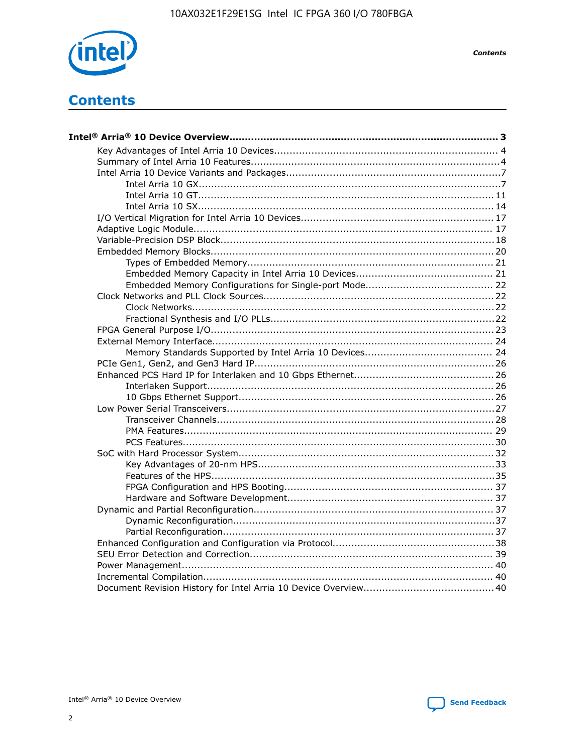

**Contents** 

# **Contents**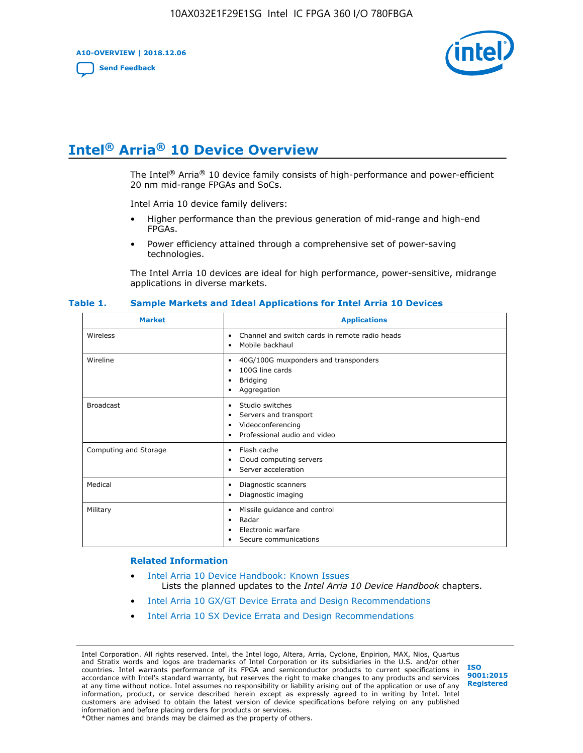**A10-OVERVIEW | 2018.12.06**

**[Send Feedback](mailto:FPGAtechdocfeedback@intel.com?subject=Feedback%20on%20Intel%20Arria%2010%20Device%20Overview%20(A10-OVERVIEW%202018.12.06)&body=We%20appreciate%20your%20feedback.%20In%20your%20comments,%20also%20specify%20the%20page%20number%20or%20paragraph.%20Thank%20you.)**



# **Intel® Arria® 10 Device Overview**

The Intel<sup>®</sup> Arria<sup>®</sup> 10 device family consists of high-performance and power-efficient 20 nm mid-range FPGAs and SoCs.

Intel Arria 10 device family delivers:

- Higher performance than the previous generation of mid-range and high-end FPGAs.
- Power efficiency attained through a comprehensive set of power-saving technologies.

The Intel Arria 10 devices are ideal for high performance, power-sensitive, midrange applications in diverse markets.

| <b>Market</b>         | <b>Applications</b>                                                                                               |
|-----------------------|-------------------------------------------------------------------------------------------------------------------|
| Wireless              | Channel and switch cards in remote radio heads<br>٠<br>Mobile backhaul<br>٠                                       |
| Wireline              | 40G/100G muxponders and transponders<br>٠<br>100G line cards<br>٠<br>Bridging<br>٠<br>Aggregation<br>٠            |
| <b>Broadcast</b>      | Studio switches<br>٠<br>Servers and transport<br>٠<br>Videoconferencing<br>٠<br>Professional audio and video<br>٠ |
| Computing and Storage | Flash cache<br>٠<br>Cloud computing servers<br>٠<br>Server acceleration<br>$\bullet$                              |
| Medical               | Diagnostic scanners<br>٠<br>Diagnostic imaging<br>٠                                                               |
| Military              | Missile guidance and control<br>٠<br>Radar<br>٠<br>Electronic warfare<br>٠<br>Secure communications<br>٠          |

#### **Table 1. Sample Markets and Ideal Applications for Intel Arria 10 Devices**

#### **Related Information**

- [Intel Arria 10 Device Handbook: Known Issues](http://www.altera.com/support/kdb/solutions/rd07302013_646.html) Lists the planned updates to the *Intel Arria 10 Device Handbook* chapters.
- [Intel Arria 10 GX/GT Device Errata and Design Recommendations](https://www.intel.com/content/www/us/en/programmable/documentation/agz1493851706374.html#yqz1494433888646)
- [Intel Arria 10 SX Device Errata and Design Recommendations](https://www.intel.com/content/www/us/en/programmable/documentation/cru1462832385668.html#cru1462832558642)

Intel Corporation. All rights reserved. Intel, the Intel logo, Altera, Arria, Cyclone, Enpirion, MAX, Nios, Quartus and Stratix words and logos are trademarks of Intel Corporation or its subsidiaries in the U.S. and/or other countries. Intel warrants performance of its FPGA and semiconductor products to current specifications in accordance with Intel's standard warranty, but reserves the right to make changes to any products and services at any time without notice. Intel assumes no responsibility or liability arising out of the application or use of any information, product, or service described herein except as expressly agreed to in writing by Intel. Intel customers are advised to obtain the latest version of device specifications before relying on any published information and before placing orders for products or services. \*Other names and brands may be claimed as the property of others.

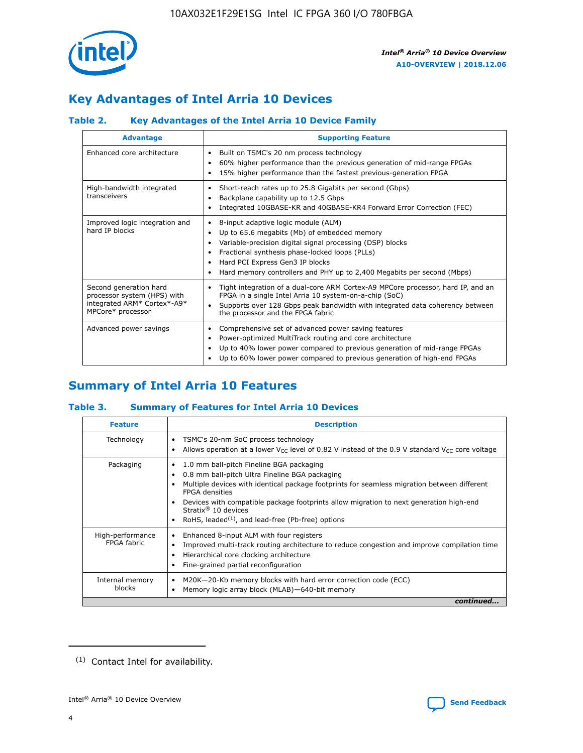

# **Key Advantages of Intel Arria 10 Devices**

# **Table 2. Key Advantages of the Intel Arria 10 Device Family**

| <b>Advantage</b>                                                                                          | <b>Supporting Feature</b>                                                                                                                                                                                                                                                                                                |
|-----------------------------------------------------------------------------------------------------------|--------------------------------------------------------------------------------------------------------------------------------------------------------------------------------------------------------------------------------------------------------------------------------------------------------------------------|
| Enhanced core architecture                                                                                | Built on TSMC's 20 nm process technology<br>٠<br>60% higher performance than the previous generation of mid-range FPGAs<br>٠<br>15% higher performance than the fastest previous-generation FPGA<br>٠                                                                                                                    |
| High-bandwidth integrated<br>transceivers                                                                 | Short-reach rates up to 25.8 Gigabits per second (Gbps)<br>٠<br>Backplane capability up to 12.5 Gbps<br>٠<br>Integrated 10GBASE-KR and 40GBASE-KR4 Forward Error Correction (FEC)<br>٠                                                                                                                                   |
| Improved logic integration and<br>hard IP blocks                                                          | 8-input adaptive logic module (ALM)<br>٠<br>Up to 65.6 megabits (Mb) of embedded memory<br>٠<br>Variable-precision digital signal processing (DSP) blocks<br>Fractional synthesis phase-locked loops (PLLs)<br>Hard PCI Express Gen3 IP blocks<br>Hard memory controllers and PHY up to 2,400 Megabits per second (Mbps) |
| Second generation hard<br>processor system (HPS) with<br>integrated ARM* Cortex*-A9*<br>MPCore* processor | Tight integration of a dual-core ARM Cortex-A9 MPCore processor, hard IP, and an<br>٠<br>FPGA in a single Intel Arria 10 system-on-a-chip (SoC)<br>Supports over 128 Gbps peak bandwidth with integrated data coherency between<br>$\bullet$<br>the processor and the FPGA fabric                                        |
| Advanced power savings                                                                                    | Comprehensive set of advanced power saving features<br>٠<br>Power-optimized MultiTrack routing and core architecture<br>٠<br>Up to 40% lower power compared to previous generation of mid-range FPGAs<br>Up to 60% lower power compared to previous generation of high-end FPGAs                                         |

# **Summary of Intel Arria 10 Features**

## **Table 3. Summary of Features for Intel Arria 10 Devices**

| <b>Feature</b>                  | <b>Description</b>                                                                                                                                                                                                                                                                                                                                                                                       |
|---------------------------------|----------------------------------------------------------------------------------------------------------------------------------------------------------------------------------------------------------------------------------------------------------------------------------------------------------------------------------------------------------------------------------------------------------|
| Technology                      | TSMC's 20-nm SoC process technology<br>٠<br>Allows operation at a lower $V_{\text{CC}}$ level of 0.82 V instead of the 0.9 V standard $V_{\text{CC}}$ core voltage                                                                                                                                                                                                                                       |
| Packaging                       | 1.0 mm ball-pitch Fineline BGA packaging<br>0.8 mm ball-pitch Ultra Fineline BGA packaging<br>Multiple devices with identical package footprints for seamless migration between different<br><b>FPGA</b> densities<br>Devices with compatible package footprints allow migration to next generation high-end<br>Stratix $\mathcal{R}$ 10 devices<br>RoHS, leaded $(1)$ , and lead-free (Pb-free) options |
| High-performance<br>FPGA fabric | Enhanced 8-input ALM with four registers<br>٠<br>Improved multi-track routing architecture to reduce congestion and improve compilation time<br>Hierarchical core clocking architecture<br>Fine-grained partial reconfiguration                                                                                                                                                                          |
| Internal memory<br>blocks       | M20K-20-Kb memory blocks with hard error correction code (ECC)<br>Memory logic array block (MLAB)-640-bit memory                                                                                                                                                                                                                                                                                         |
|                                 | continued                                                                                                                                                                                                                                                                                                                                                                                                |



<sup>(1)</sup> Contact Intel for availability.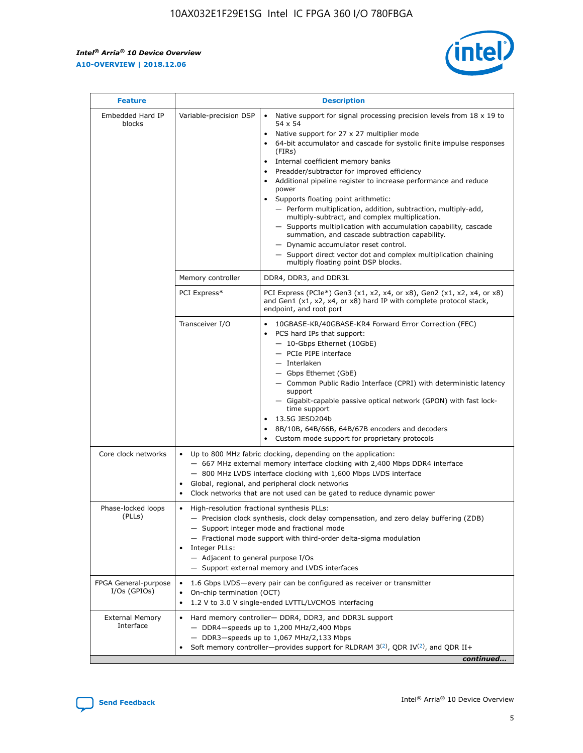$\mathsf{r}$ 



| <b>Feature</b>                         |                                                                                                                | <b>Description</b>                                                                                                                                                                                                                                                                                                                                                                                                                                                                                                                                                                                                                                                                                                                                                                                                                          |
|----------------------------------------|----------------------------------------------------------------------------------------------------------------|---------------------------------------------------------------------------------------------------------------------------------------------------------------------------------------------------------------------------------------------------------------------------------------------------------------------------------------------------------------------------------------------------------------------------------------------------------------------------------------------------------------------------------------------------------------------------------------------------------------------------------------------------------------------------------------------------------------------------------------------------------------------------------------------------------------------------------------------|
| Embedded Hard IP<br>blocks             | Variable-precision DSP                                                                                         | Native support for signal processing precision levels from $18 \times 19$ to<br>$\bullet$<br>54 x 54<br>Native support for 27 x 27 multiplier mode<br>64-bit accumulator and cascade for systolic finite impulse responses<br>(FIRS)<br>Internal coefficient memory banks<br>٠<br>Preadder/subtractor for improved efficiency<br>Additional pipeline register to increase performance and reduce<br>power<br>Supports floating point arithmetic:<br>- Perform multiplication, addition, subtraction, multiply-add,<br>multiply-subtract, and complex multiplication.<br>- Supports multiplication with accumulation capability, cascade<br>summation, and cascade subtraction capability.<br>- Dynamic accumulator reset control.<br>- Support direct vector dot and complex multiplication chaining<br>multiply floating point DSP blocks. |
|                                        | Memory controller                                                                                              | DDR4, DDR3, and DDR3L                                                                                                                                                                                                                                                                                                                                                                                                                                                                                                                                                                                                                                                                                                                                                                                                                       |
|                                        | PCI Express*                                                                                                   | PCI Express (PCIe*) Gen3 (x1, x2, x4, or x8), Gen2 (x1, x2, x4, or x8)<br>and Gen1 (x1, x2, x4, or x8) hard IP with complete protocol stack,<br>endpoint, and root port                                                                                                                                                                                                                                                                                                                                                                                                                                                                                                                                                                                                                                                                     |
|                                        | Transceiver I/O                                                                                                | 10GBASE-KR/40GBASE-KR4 Forward Error Correction (FEC)<br>PCS hard IPs that support:<br>- 10-Gbps Ethernet (10GbE)<br>- PCIe PIPE interface<br>- Interlaken<br>- Gbps Ethernet (GbE)<br>- Common Public Radio Interface (CPRI) with deterministic latency<br>support<br>- Gigabit-capable passive optical network (GPON) with fast lock-<br>time support<br>13.5G JESD204b<br>8B/10B, 64B/66B, 64B/67B encoders and decoders<br>Custom mode support for proprietary protocols                                                                                                                                                                                                                                                                                                                                                                |
| Core clock networks                    | $\bullet$                                                                                                      | Up to 800 MHz fabric clocking, depending on the application:<br>- 667 MHz external memory interface clocking with 2,400 Mbps DDR4 interface<br>- 800 MHz LVDS interface clocking with 1,600 Mbps LVDS interface<br>Global, regional, and peripheral clock networks<br>Clock networks that are not used can be gated to reduce dynamic power                                                                                                                                                                                                                                                                                                                                                                                                                                                                                                 |
| Phase-locked loops<br>(PLLs)           | High-resolution fractional synthesis PLLs:<br>$\bullet$<br>Integer PLLs:<br>- Adjacent to general purpose I/Os | - Precision clock synthesis, clock delay compensation, and zero delay buffering (ZDB)<br>- Support integer mode and fractional mode<br>- Fractional mode support with third-order delta-sigma modulation<br>- Support external memory and LVDS interfaces                                                                                                                                                                                                                                                                                                                                                                                                                                                                                                                                                                                   |
| FPGA General-purpose<br>$I/Os$ (GPIOs) | On-chip termination (OCT)<br>$\bullet$                                                                         | 1.6 Gbps LVDS-every pair can be configured as receiver or transmitter<br>1.2 V to 3.0 V single-ended LVTTL/LVCMOS interfacing                                                                                                                                                                                                                                                                                                                                                                                                                                                                                                                                                                                                                                                                                                               |
| <b>External Memory</b><br>Interface    |                                                                                                                | Hard memory controller- DDR4, DDR3, and DDR3L support<br>$-$ DDR4 $-$ speeds up to 1,200 MHz/2,400 Mbps<br>- DDR3-speeds up to 1,067 MHz/2,133 Mbps<br>Soft memory controller—provides support for RLDRAM $3^{(2)}$ , QDR IV $(2)$ , and QDR II+<br>continued                                                                                                                                                                                                                                                                                                                                                                                                                                                                                                                                                                               |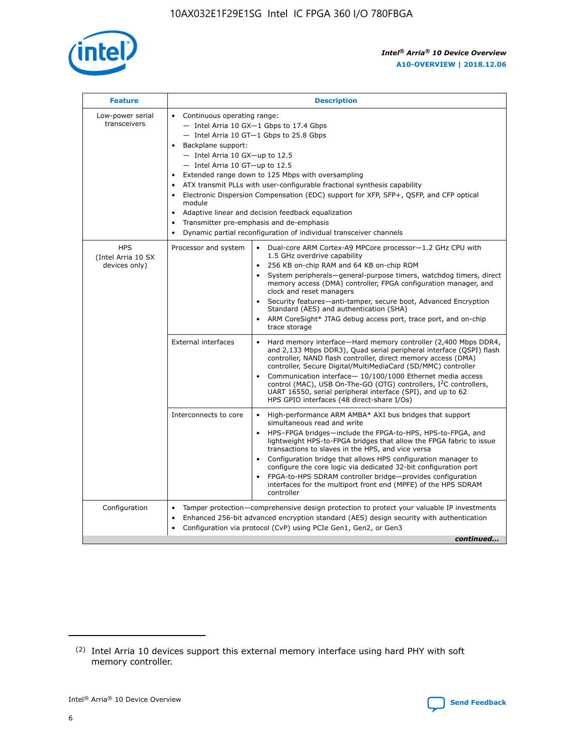

| <b>Feature</b>                                    | <b>Description</b>                                                                                                                                                                                                                                                                                                                                                                                                                                                                                                                                                                                                                                                        |
|---------------------------------------------------|---------------------------------------------------------------------------------------------------------------------------------------------------------------------------------------------------------------------------------------------------------------------------------------------------------------------------------------------------------------------------------------------------------------------------------------------------------------------------------------------------------------------------------------------------------------------------------------------------------------------------------------------------------------------------|
| Low-power serial<br>transceivers                  | • Continuous operating range:<br>- Intel Arria 10 GX-1 Gbps to 17.4 Gbps<br>$-$ Intel Arria 10 GT $-1$ Gbps to 25.8 Gbps<br>Backplane support:<br>$\bullet$<br>$-$ Intel Arria 10 GX-up to 12.5<br>$-$ Intel Arria 10 GT-up to 12.5<br>Extended range down to 125 Mbps with oversampling<br>ATX transmit PLLs with user-configurable fractional synthesis capability<br>Electronic Dispersion Compensation (EDC) support for XFP, SFP+, OSFP, and CFP optical<br>module<br>Adaptive linear and decision feedback equalization<br>$\bullet$<br>Transmitter pre-emphasis and de-emphasis<br>$\bullet$<br>Dynamic partial reconfiguration of individual transceiver channels |
| <b>HPS</b><br>(Intel Arria 10 SX<br>devices only) | Dual-core ARM Cortex-A9 MPCore processor-1.2 GHz CPU with<br>Processor and system<br>$\bullet$<br>1.5 GHz overdrive capability<br>256 KB on-chip RAM and 64 KB on-chip ROM<br>System peripherals-general-purpose timers, watchdog timers, direct<br>memory access (DMA) controller, FPGA configuration manager, and<br>clock and reset managers<br>• Security features—anti-tamper, secure boot, Advanced Encryption<br>Standard (AES) and authentication (SHA)<br>ARM CoreSight* JTAG debug access port, trace port, and on-chip<br>$\bullet$<br>trace storage                                                                                                           |
|                                                   | <b>External interfaces</b><br>Hard memory interface—Hard memory controller (2,400 Mbps DDR4,<br>and 2,133 Mbps DDR3), Quad serial peripheral interface (QSPI) flash<br>controller, NAND flash controller, direct memory access (DMA)<br>controller, Secure Digital/MultiMediaCard (SD/MMC) controller<br>Communication interface-10/100/1000 Ethernet media access<br>$\bullet$<br>control (MAC), USB On-The-GO (OTG) controllers, I <sup>2</sup> C controllers,<br>UART 16550, serial peripheral interface (SPI), and up to 62<br>HPS GPIO interfaces (48 direct-share I/Os)                                                                                             |
|                                                   | Interconnects to core<br>• High-performance ARM AMBA* AXI bus bridges that support<br>simultaneous read and write<br>HPS-FPGA bridges-include the FPGA-to-HPS, HPS-to-FPGA, and<br>$\bullet$<br>lightweight HPS-to-FPGA bridges that allow the FPGA fabric to issue<br>transactions to slaves in the HPS, and vice versa<br>Configuration bridge that allows HPS configuration manager to<br>configure the core logic via dedicated 32-bit configuration port<br>FPGA-to-HPS SDRAM controller bridge-provides configuration<br>interfaces for the multiport front end (MPFE) of the HPS SDRAM<br>controller                                                               |
| Configuration                                     | Tamper protection—comprehensive design protection to protect your valuable IP investments<br>Enhanced 256-bit advanced encryption standard (AES) design security with authentication<br>$\bullet$<br>Configuration via protocol (CvP) using PCIe Gen1, Gen2, or Gen3<br>continued                                                                                                                                                                                                                                                                                                                                                                                         |

<sup>(2)</sup> Intel Arria 10 devices support this external memory interface using hard PHY with soft memory controller.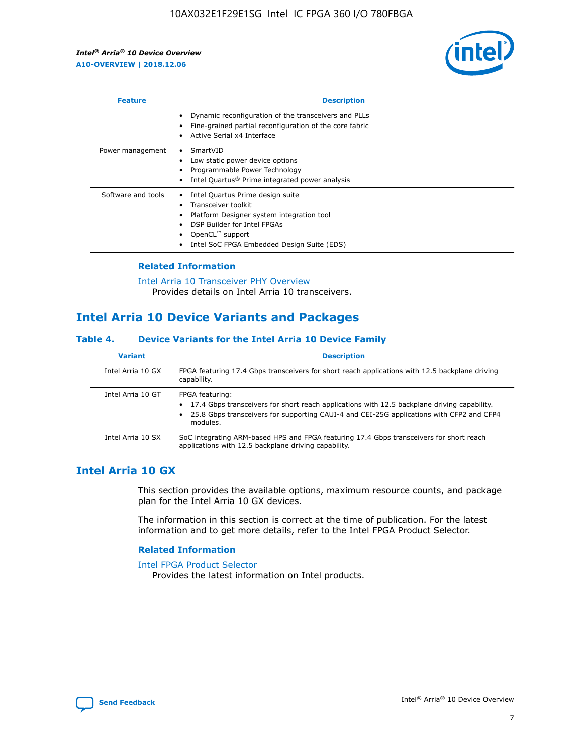

| <b>Feature</b>     | <b>Description</b>                                                                                                                                                                                               |
|--------------------|------------------------------------------------------------------------------------------------------------------------------------------------------------------------------------------------------------------|
|                    | Dynamic reconfiguration of the transceivers and PLLs<br>Fine-grained partial reconfiguration of the core fabric<br>Active Serial x4 Interface<br>$\bullet$                                                       |
| Power management   | SmartVID<br>$\bullet$<br>Low static power device options<br>Programmable Power Technology<br>Intel Quartus <sup>®</sup> Prime integrated power analysis                                                          |
| Software and tools | Intel Quartus Prime design suite<br>Transceiver toolkit<br>Platform Designer system integration tool<br>DSP Builder for Intel FPGAs<br>OpenCL <sup>™</sup> support<br>Intel SoC FPGA Embedded Design Suite (EDS) |

## **Related Information**

[Intel Arria 10 Transceiver PHY Overview](https://www.intel.com/content/www/us/en/programmable/documentation/nik1398707230472.html#nik1398706768037) Provides details on Intel Arria 10 transceivers.

# **Intel Arria 10 Device Variants and Packages**

#### **Table 4. Device Variants for the Intel Arria 10 Device Family**

| <b>Variant</b>    | <b>Description</b>                                                                                                                                                                                                     |
|-------------------|------------------------------------------------------------------------------------------------------------------------------------------------------------------------------------------------------------------------|
| Intel Arria 10 GX | FPGA featuring 17.4 Gbps transceivers for short reach applications with 12.5 backplane driving<br>capability.                                                                                                          |
| Intel Arria 10 GT | FPGA featuring:<br>17.4 Gbps transceivers for short reach applications with 12.5 backplane driving capability.<br>25.8 Gbps transceivers for supporting CAUI-4 and CEI-25G applications with CFP2 and CFP4<br>modules. |
| Intel Arria 10 SX | SoC integrating ARM-based HPS and FPGA featuring 17.4 Gbps transceivers for short reach<br>applications with 12.5 backplane driving capability.                                                                        |

# **Intel Arria 10 GX**

This section provides the available options, maximum resource counts, and package plan for the Intel Arria 10 GX devices.

The information in this section is correct at the time of publication. For the latest information and to get more details, refer to the Intel FPGA Product Selector.

#### **Related Information**

#### [Intel FPGA Product Selector](http://www.altera.com/products/selector/psg-selector.html) Provides the latest information on Intel products.

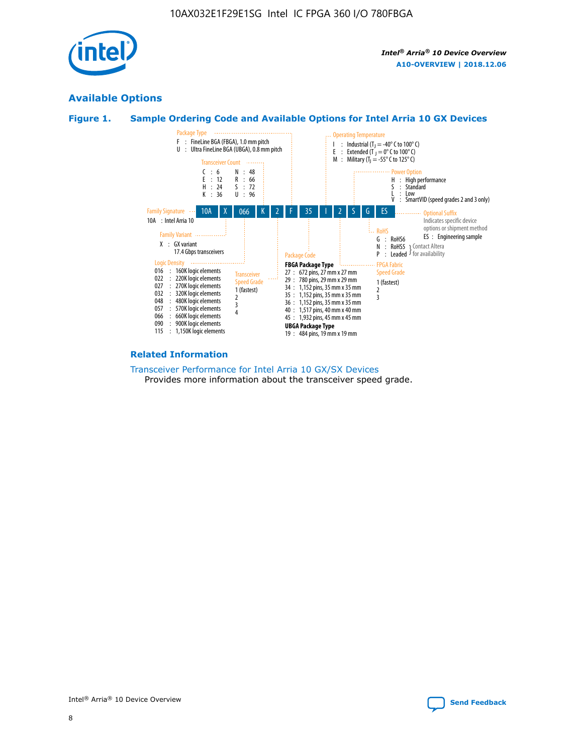

# **Available Options**





#### **Related Information**

[Transceiver Performance for Intel Arria 10 GX/SX Devices](https://www.intel.com/content/www/us/en/programmable/documentation/mcn1413182292568.html#mcn1413213965502) Provides more information about the transceiver speed grade.

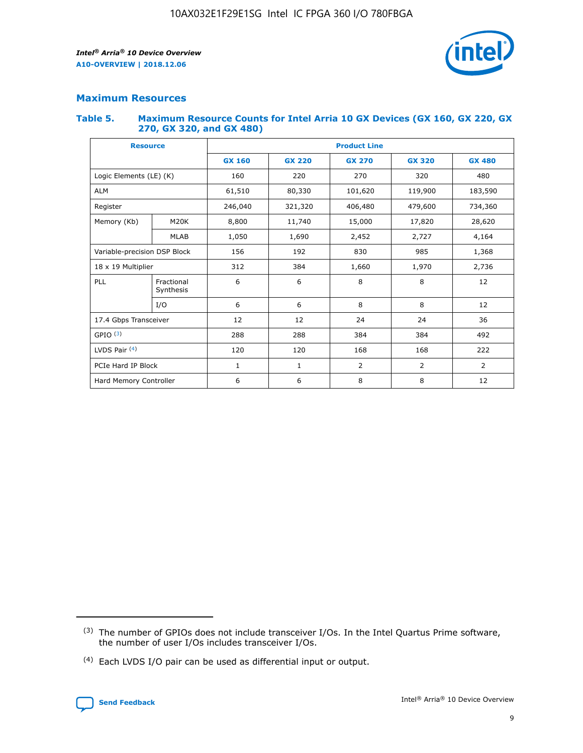

## **Maximum Resources**

#### **Table 5. Maximum Resource Counts for Intel Arria 10 GX Devices (GX 160, GX 220, GX 270, GX 320, and GX 480)**

| <b>Resource</b>              |                         | <b>Product Line</b> |                                |                |                |               |  |  |  |
|------------------------------|-------------------------|---------------------|--------------------------------|----------------|----------------|---------------|--|--|--|
|                              |                         | <b>GX 160</b>       | <b>GX 220</b><br><b>GX 270</b> |                | <b>GX 320</b>  | <b>GX 480</b> |  |  |  |
| Logic Elements (LE) (K)      |                         | 160                 | 220                            | 270            | 320            | 480           |  |  |  |
| <b>ALM</b>                   |                         | 61,510              | 80,330                         | 101,620        | 119,900        | 183,590       |  |  |  |
| Register                     |                         | 246,040             | 321,320<br>406,480             |                | 479,600        | 734,360       |  |  |  |
| Memory (Kb)                  | M <sub>20</sub> K       | 8,800               | 11,740                         | 15,000         | 17,820         | 28,620        |  |  |  |
|                              | <b>MLAB</b>             | 1,050               | 1,690                          | 2,452          | 2,727          | 4,164         |  |  |  |
| Variable-precision DSP Block |                         | 156                 | 192                            | 830<br>985     |                | 1,368         |  |  |  |
|                              | 18 x 19 Multiplier      |                     | 384                            | 1,970<br>1,660 |                | 2,736         |  |  |  |
| PLL                          | Fractional<br>Synthesis | 6                   | 6                              | 8              | 8              | 12            |  |  |  |
|                              | I/O                     | 6                   | 6                              | 8              | 8              | 12            |  |  |  |
| 17.4 Gbps Transceiver        |                         | 12                  | 12                             | 24             | 24             | 36            |  |  |  |
| GPIO <sup>(3)</sup>          |                         | 288                 | 288<br>384<br>384              |                |                | 492           |  |  |  |
| LVDS Pair $(4)$              |                         | 120                 | 120                            | 168            | 168            | 222           |  |  |  |
| PCIe Hard IP Block           |                         | 1                   | 1                              | $\overline{2}$ | $\overline{2}$ | 2             |  |  |  |
| Hard Memory Controller       |                         | 6                   | 6                              | 8<br>8         |                | 12            |  |  |  |

<sup>(4)</sup> Each LVDS I/O pair can be used as differential input or output.



<sup>(3)</sup> The number of GPIOs does not include transceiver I/Os. In the Intel Quartus Prime software, the number of user I/Os includes transceiver I/Os.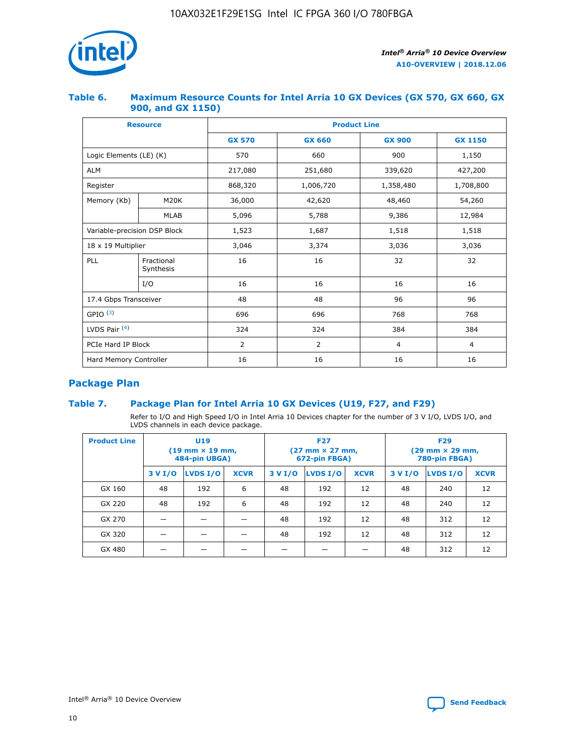

## **Table 6. Maximum Resource Counts for Intel Arria 10 GX Devices (GX 570, GX 660, GX 900, and GX 1150)**

|                              | <b>Resource</b>         | <b>Product Line</b> |                |                |                |  |  |  |
|------------------------------|-------------------------|---------------------|----------------|----------------|----------------|--|--|--|
|                              |                         | <b>GX 570</b>       | <b>GX 660</b>  | <b>GX 900</b>  | <b>GX 1150</b> |  |  |  |
| Logic Elements (LE) (K)      |                         | 570                 | 660            | 900            | 1,150          |  |  |  |
| <b>ALM</b>                   |                         | 217,080             | 251,680        | 339,620        | 427,200        |  |  |  |
| Register                     |                         | 868,320             | 1,006,720      |                | 1,708,800      |  |  |  |
| Memory (Kb)                  | <b>M20K</b>             | 36,000              | 42,620         | 48,460         | 54,260         |  |  |  |
|                              | <b>MLAB</b>             | 5,096               | 5,788          | 9,386          | 12,984         |  |  |  |
| Variable-precision DSP Block |                         | 1,523               | 1,687          | 1,518          | 1,518          |  |  |  |
| $18 \times 19$ Multiplier    |                         | 3,046               | 3,374          | 3,036          | 3,036          |  |  |  |
| PLL                          | Fractional<br>Synthesis | 16                  | 16             | 32             | 32             |  |  |  |
|                              | I/O                     | 16                  | 16             | 16             | 16             |  |  |  |
| 17.4 Gbps Transceiver        |                         | 48                  | 48<br>96       |                | 96             |  |  |  |
| GPIO <sup>(3)</sup>          |                         | 696                 | 696            | 768            | 768            |  |  |  |
| LVDS Pair $(4)$              |                         | 324                 | 324            | 384            | 384            |  |  |  |
| PCIe Hard IP Block           |                         | 2                   | $\overline{2}$ | $\overline{4}$ | $\overline{4}$ |  |  |  |
| Hard Memory Controller       |                         | 16                  | 16             | 16             | 16             |  |  |  |

# **Package Plan**

# **Table 7. Package Plan for Intel Arria 10 GX Devices (U19, F27, and F29)**

Refer to I/O and High Speed I/O in Intel Arria 10 Devices chapter for the number of 3 V I/O, LVDS I/O, and LVDS channels in each device package.

| <b>Product Line</b> | U <sub>19</sub><br>$(19 \text{ mm} \times 19 \text{ mm})$<br>484-pin UBGA) |          |             |         | <b>F27</b><br>(27 mm × 27 mm,<br>672-pin FBGA) |             | <b>F29</b><br>$(29 \text{ mm} \times 29 \text{ mm})$<br>780-pin FBGA) |          |             |  |
|---------------------|----------------------------------------------------------------------------|----------|-------------|---------|------------------------------------------------|-------------|-----------------------------------------------------------------------|----------|-------------|--|
|                     | 3 V I/O                                                                    | LVDS I/O | <b>XCVR</b> | 3 V I/O | LVDS I/O                                       | <b>XCVR</b> | 3 V I/O                                                               | LVDS I/O | <b>XCVR</b> |  |
| GX 160              | 48                                                                         | 192      | 6           | 48      | 192                                            | 12          | 48                                                                    | 240      | 12          |  |
| GX 220              | 48                                                                         | 192      | 6           | 48      | 192                                            | 12          | 48                                                                    | 240      | 12          |  |
| GX 270              |                                                                            |          |             | 48      | 192                                            | 12          | 48                                                                    | 312      | 12          |  |
| GX 320              |                                                                            |          |             | 48      | 192                                            | 12          | 48                                                                    | 312      | 12          |  |
| GX 480              |                                                                            |          |             |         |                                                |             | 48                                                                    | 312      | 12          |  |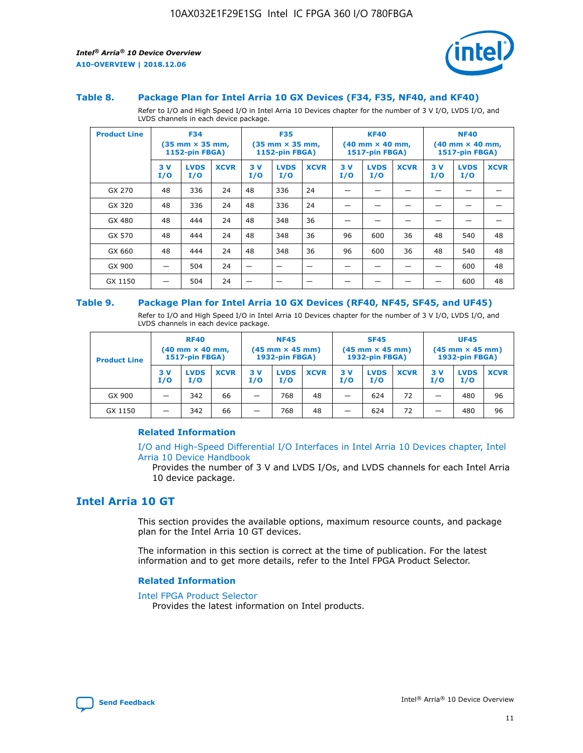

#### **Table 8. Package Plan for Intel Arria 10 GX Devices (F34, F35, NF40, and KF40)**

Refer to I/O and High Speed I/O in Intel Arria 10 Devices chapter for the number of 3 V I/O, LVDS I/O, and LVDS channels in each device package.

| <b>Product Line</b> | <b>F34</b><br>$(35 \text{ mm} \times 35 \text{ mm})$<br>1152-pin FBGA) |                    | <b>F35</b><br>$(35 \text{ mm} \times 35 \text{ mm})$<br><b>1152-pin FBGA)</b> |           | <b>KF40</b><br>$(40$ mm $\times$ 40 mm,<br>1517-pin FBGA) |             |           | <b>NF40</b><br>$(40$ mm $\times$ 40 mm,<br><b>1517-pin FBGA)</b> |             |            |                    |             |
|---------------------|------------------------------------------------------------------------|--------------------|-------------------------------------------------------------------------------|-----------|-----------------------------------------------------------|-------------|-----------|------------------------------------------------------------------|-------------|------------|--------------------|-------------|
|                     | 3V<br>I/O                                                              | <b>LVDS</b><br>I/O | <b>XCVR</b>                                                                   | 3V<br>I/O | <b>LVDS</b><br>I/O                                        | <b>XCVR</b> | 3V<br>I/O | <b>LVDS</b><br>I/O                                               | <b>XCVR</b> | 3 V<br>I/O | <b>LVDS</b><br>I/O | <b>XCVR</b> |
| GX 270              | 48                                                                     | 336                | 24                                                                            | 48        | 336                                                       | 24          |           |                                                                  |             |            |                    |             |
| GX 320              | 48                                                                     | 336                | 24                                                                            | 48        | 336                                                       | 24          |           |                                                                  |             |            |                    |             |
| GX 480              | 48                                                                     | 444                | 24                                                                            | 48        | 348                                                       | 36          |           |                                                                  |             |            |                    |             |
| GX 570              | 48                                                                     | 444                | 24                                                                            | 48        | 348                                                       | 36          | 96        | 600                                                              | 36          | 48         | 540                | 48          |
| GX 660              | 48                                                                     | 444                | 24                                                                            | 48        | 348                                                       | 36          | 96        | 600                                                              | 36          | 48         | 540                | 48          |
| GX 900              |                                                                        | 504                | 24                                                                            | -         |                                                           |             |           |                                                                  |             |            | 600                | 48          |
| GX 1150             |                                                                        | 504                | 24                                                                            |           |                                                           |             |           |                                                                  |             |            | 600                | 48          |

#### **Table 9. Package Plan for Intel Arria 10 GX Devices (RF40, NF45, SF45, and UF45)**

Refer to I/O and High Speed I/O in Intel Arria 10 Devices chapter for the number of 3 V I/O, LVDS I/O, and LVDS channels in each device package.

| <b>Product Line</b> | <b>RF40</b><br>$(40$ mm $\times$ 40 mm,<br>1517-pin FBGA) |                    |             | <b>NF45</b><br>$(45 \text{ mm} \times 45 \text{ mm})$<br><b>1932-pin FBGA)</b> |                    |             | <b>SF45</b><br>$(45 \text{ mm} \times 45 \text{ mm})$<br><b>1932-pin FBGA)</b> |                    |             | <b>UF45</b><br>$(45 \text{ mm} \times 45 \text{ mm})$<br><b>1932-pin FBGA)</b> |                    |             |
|---------------------|-----------------------------------------------------------|--------------------|-------------|--------------------------------------------------------------------------------|--------------------|-------------|--------------------------------------------------------------------------------|--------------------|-------------|--------------------------------------------------------------------------------|--------------------|-------------|
|                     | 3V<br>I/O                                                 | <b>LVDS</b><br>I/O | <b>XCVR</b> | 3 V<br>I/O                                                                     | <b>LVDS</b><br>I/O | <b>XCVR</b> | 3 V<br>I/O                                                                     | <b>LVDS</b><br>I/O | <b>XCVR</b> | 3V<br>I/O                                                                      | <b>LVDS</b><br>I/O | <b>XCVR</b> |
| GX 900              |                                                           | 342                | 66          | _                                                                              | 768                | 48          |                                                                                | 624                | 72          |                                                                                | 480                | 96          |
| GX 1150             |                                                           | 342                | 66          | _                                                                              | 768                | 48          |                                                                                | 624                | 72          |                                                                                | 480                | 96          |

### **Related Information**

[I/O and High-Speed Differential I/O Interfaces in Intel Arria 10 Devices chapter, Intel](https://www.intel.com/content/www/us/en/programmable/documentation/sam1403482614086.html#sam1403482030321) [Arria 10 Device Handbook](https://www.intel.com/content/www/us/en/programmable/documentation/sam1403482614086.html#sam1403482030321)

Provides the number of 3 V and LVDS I/Os, and LVDS channels for each Intel Arria 10 device package.

# **Intel Arria 10 GT**

This section provides the available options, maximum resource counts, and package plan for the Intel Arria 10 GT devices.

The information in this section is correct at the time of publication. For the latest information and to get more details, refer to the Intel FPGA Product Selector.

#### **Related Information**

#### [Intel FPGA Product Selector](http://www.altera.com/products/selector/psg-selector.html)

Provides the latest information on Intel products.

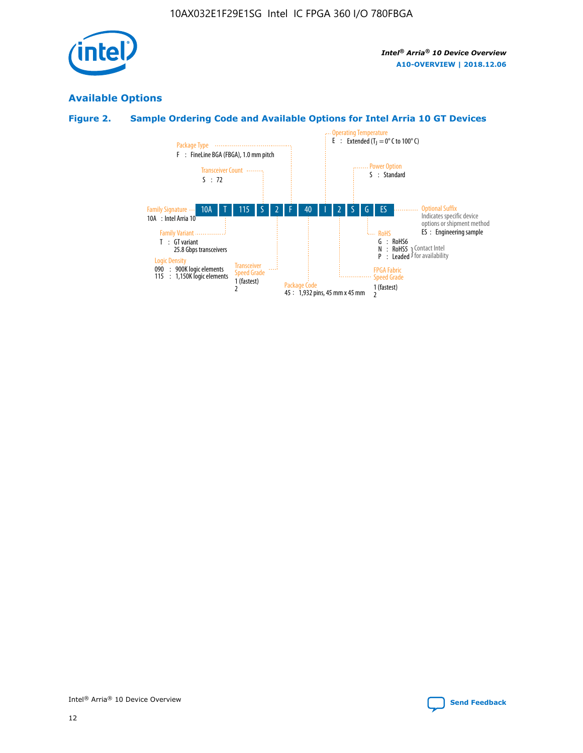

# **Available Options**

# **Figure 2. Sample Ordering Code and Available Options for Intel Arria 10 GT Devices**

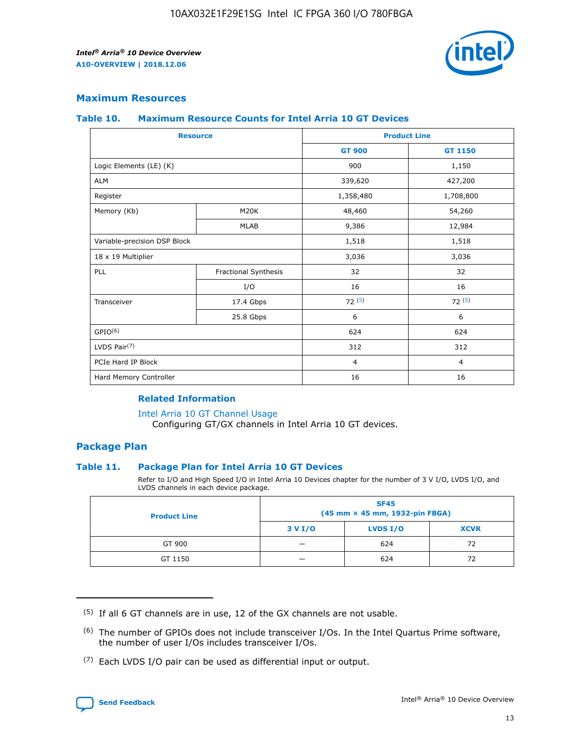

## **Maximum Resources**

#### **Table 10. Maximum Resource Counts for Intel Arria 10 GT Devices**

| <b>Resource</b>              |                      |                | <b>Product Line</b> |  |
|------------------------------|----------------------|----------------|---------------------|--|
|                              |                      | <b>GT 900</b>  | GT 1150             |  |
| Logic Elements (LE) (K)      |                      | 900            | 1,150               |  |
| <b>ALM</b>                   |                      | 339,620        | 427,200             |  |
| Register                     |                      | 1,358,480      | 1,708,800           |  |
| Memory (Kb)                  | M20K                 | 48,460         | 54,260              |  |
|                              | <b>MLAB</b>          | 9,386          | 12,984              |  |
| Variable-precision DSP Block |                      | 1,518          | 1,518               |  |
| 18 x 19 Multiplier           |                      | 3,036          | 3,036               |  |
| <b>PLL</b>                   | Fractional Synthesis | 32             | 32                  |  |
|                              | I/O                  | 16             | 16                  |  |
| Transceiver                  | 17.4 Gbps            | 72(5)          | 72(5)               |  |
|                              | 25.8 Gbps            | 6              | 6                   |  |
| GPIO <sup>(6)</sup>          |                      | 624            | 624                 |  |
| LVDS Pair $(7)$              |                      | 312            | 312                 |  |
| PCIe Hard IP Block           |                      | $\overline{4}$ | $\overline{4}$      |  |
| Hard Memory Controller       |                      | 16             | 16                  |  |

### **Related Information**

#### [Intel Arria 10 GT Channel Usage](https://www.intel.com/content/www/us/en/programmable/documentation/nik1398707230472.html#nik1398707008178)

Configuring GT/GX channels in Intel Arria 10 GT devices.

## **Package Plan**

#### **Table 11. Package Plan for Intel Arria 10 GT Devices**

Refer to I/O and High Speed I/O in Intel Arria 10 Devices chapter for the number of 3 V I/O, LVDS I/O, and LVDS channels in each device package.

| <b>Product Line</b> | <b>SF45</b><br>(45 mm × 45 mm, 1932-pin FBGA) |                 |             |  |  |  |
|---------------------|-----------------------------------------------|-----------------|-------------|--|--|--|
|                     | 3 V I/O                                       | <b>LVDS I/O</b> | <b>XCVR</b> |  |  |  |
| GT 900              |                                               | 624             | 72          |  |  |  |
| GT 1150             |                                               | 624             | 72          |  |  |  |

<sup>(7)</sup> Each LVDS I/O pair can be used as differential input or output.



 $(5)$  If all 6 GT channels are in use, 12 of the GX channels are not usable.

<sup>(6)</sup> The number of GPIOs does not include transceiver I/Os. In the Intel Quartus Prime software, the number of user I/Os includes transceiver I/Os.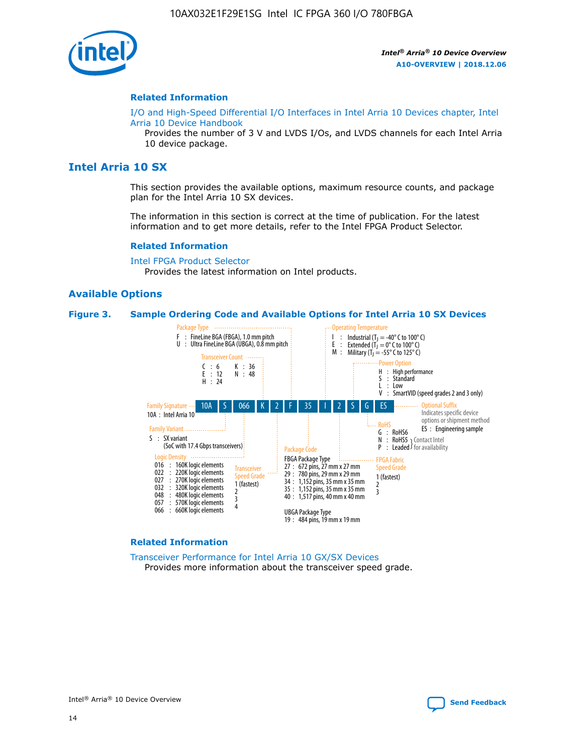

#### **Related Information**

[I/O and High-Speed Differential I/O Interfaces in Intel Arria 10 Devices chapter, Intel](https://www.intel.com/content/www/us/en/programmable/documentation/sam1403482614086.html#sam1403482030321) [Arria 10 Device Handbook](https://www.intel.com/content/www/us/en/programmable/documentation/sam1403482614086.html#sam1403482030321)

Provides the number of 3 V and LVDS I/Os, and LVDS channels for each Intel Arria 10 device package.

# **Intel Arria 10 SX**

This section provides the available options, maximum resource counts, and package plan for the Intel Arria 10 SX devices.

The information in this section is correct at the time of publication. For the latest information and to get more details, refer to the Intel FPGA Product Selector.

#### **Related Information**

[Intel FPGA Product Selector](http://www.altera.com/products/selector/psg-selector.html) Provides the latest information on Intel products.

#### **Available Options**

#### **Figure 3. Sample Ordering Code and Available Options for Intel Arria 10 SX Devices**



#### **Related Information**

[Transceiver Performance for Intel Arria 10 GX/SX Devices](https://www.intel.com/content/www/us/en/programmable/documentation/mcn1413182292568.html#mcn1413213965502) Provides more information about the transceiver speed grade.

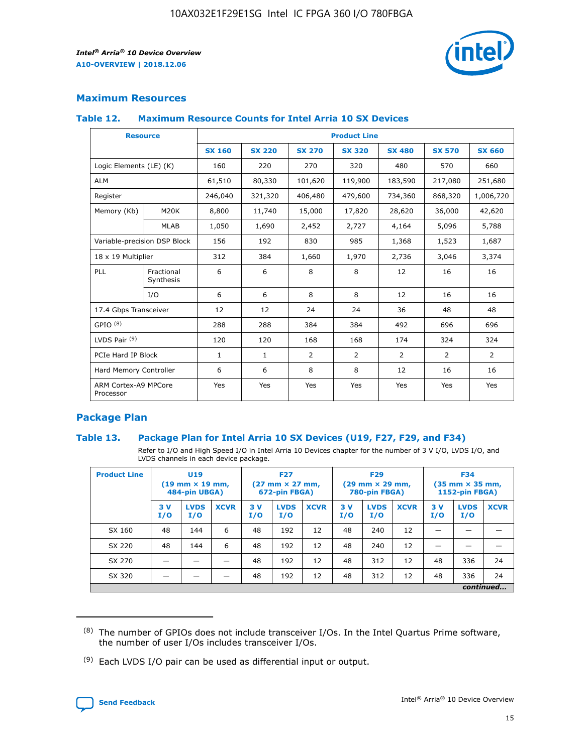

# **Maximum Resources**

#### **Table 12. Maximum Resource Counts for Intel Arria 10 SX Devices**

|                                   | <b>Resource</b>         | <b>Product Line</b> |               |                |                |                |                |                |  |  |  |
|-----------------------------------|-------------------------|---------------------|---------------|----------------|----------------|----------------|----------------|----------------|--|--|--|
|                                   |                         | <b>SX 160</b>       | <b>SX 220</b> | <b>SX 270</b>  | <b>SX 320</b>  | <b>SX 480</b>  | <b>SX 570</b>  | <b>SX 660</b>  |  |  |  |
| Logic Elements (LE) (K)           |                         | 160                 | 220           | 270            | 320            | 480            | 570            | 660            |  |  |  |
| <b>ALM</b>                        |                         | 61,510              | 80,330        | 101,620        | 119,900        | 183,590        | 217,080        | 251,680        |  |  |  |
| Register                          |                         | 246,040             | 321,320       | 406,480        | 479,600        | 734,360        | 868,320        | 1,006,720      |  |  |  |
| Memory (Kb)                       | M <sub>20</sub> K       | 8,800               | 11,740        | 15,000         | 17,820         | 28,620         | 36,000         | 42,620         |  |  |  |
|                                   | <b>MLAB</b>             | 1,050               | 1,690         | 2,452          | 2,727          | 4,164          | 5,096          | 5,788          |  |  |  |
| Variable-precision DSP Block      |                         | 156                 | 192           | 830            | 985            | 1,368          | 1,523          | 1,687          |  |  |  |
| 18 x 19 Multiplier                |                         | 312                 | 384           | 1,660          | 1,970          | 2,736          | 3,046          | 3,374          |  |  |  |
| <b>PLL</b>                        | Fractional<br>Synthesis | 6                   | 6             | 8              | 8              | 12             | 16             | 16             |  |  |  |
|                                   | I/O                     | 6                   | 6             | 8              | 8              | 12             | 16             | 16             |  |  |  |
| 17.4 Gbps Transceiver             |                         | 12                  | 12            | 24             | 24             | 36             | 48             | 48             |  |  |  |
| GPIO <sup>(8)</sup>               |                         | 288                 | 288           | 384            | 384            | 492            | 696            | 696            |  |  |  |
| LVDS Pair $(9)$                   |                         | 120                 | 120           | 168            | 168            | 174            | 324            | 324            |  |  |  |
| PCIe Hard IP Block                |                         | $\mathbf{1}$        | $\mathbf{1}$  | $\overline{2}$ | $\overline{2}$ | $\overline{2}$ | $\overline{2}$ | $\overline{2}$ |  |  |  |
| Hard Memory Controller            |                         | 6                   | 6             | 8              | 8              | 12             | 16             | 16             |  |  |  |
| ARM Cortex-A9 MPCore<br>Processor |                         | Yes                 | Yes           | Yes            | Yes            | Yes            | Yes            | Yes            |  |  |  |

# **Package Plan**

#### **Table 13. Package Plan for Intel Arria 10 SX Devices (U19, F27, F29, and F34)**

Refer to I/O and High Speed I/O in Intel Arria 10 Devices chapter for the number of 3 V I/O, LVDS I/O, and LVDS channels in each device package.

| <b>Product Line</b> | U19<br>$(19 \text{ mm} \times 19 \text{ mm})$<br>484-pin UBGA) |                    |             | <b>F27</b><br>$(27 \text{ mm} \times 27 \text{ mm})$ .<br>672-pin FBGA) |                    | <b>F29</b><br>$(29 \text{ mm} \times 29 \text{ mm})$ .<br>780-pin FBGA) |            |                    | <b>F34</b><br>$(35 \text{ mm} \times 35 \text{ mm})$<br><b>1152-pin FBGA)</b> |           |                    |             |
|---------------------|----------------------------------------------------------------|--------------------|-------------|-------------------------------------------------------------------------|--------------------|-------------------------------------------------------------------------|------------|--------------------|-------------------------------------------------------------------------------|-----------|--------------------|-------------|
|                     | 3V<br>I/O                                                      | <b>LVDS</b><br>I/O | <b>XCVR</b> | 3V<br>I/O                                                               | <b>LVDS</b><br>I/O | <b>XCVR</b>                                                             | 3 V<br>I/O | <b>LVDS</b><br>I/O | <b>XCVR</b>                                                                   | 3V<br>I/O | <b>LVDS</b><br>I/O | <b>XCVR</b> |
| SX 160              | 48                                                             | 144                | 6           | 48                                                                      | 192                | 12                                                                      | 48         | 240                | 12                                                                            |           |                    |             |
| SX 220              | 48                                                             | 144                | 6           | 48                                                                      | 192                | 12                                                                      | 48         | 240                | 12                                                                            |           |                    |             |
| SX 270              |                                                                |                    |             | 48                                                                      | 192                | 12                                                                      | 48         | 312                | 12                                                                            | 48        | 336                | 24          |
| SX 320              |                                                                |                    |             | 48                                                                      | 192                | 12                                                                      | 48         | 312                | 12                                                                            | 48        | 336                | 24          |
|                     | continued                                                      |                    |             |                                                                         |                    |                                                                         |            |                    |                                                                               |           |                    |             |

 $(8)$  The number of GPIOs does not include transceiver I/Os. In the Intel Quartus Prime software, the number of user I/Os includes transceiver I/Os.

 $(9)$  Each LVDS I/O pair can be used as differential input or output.

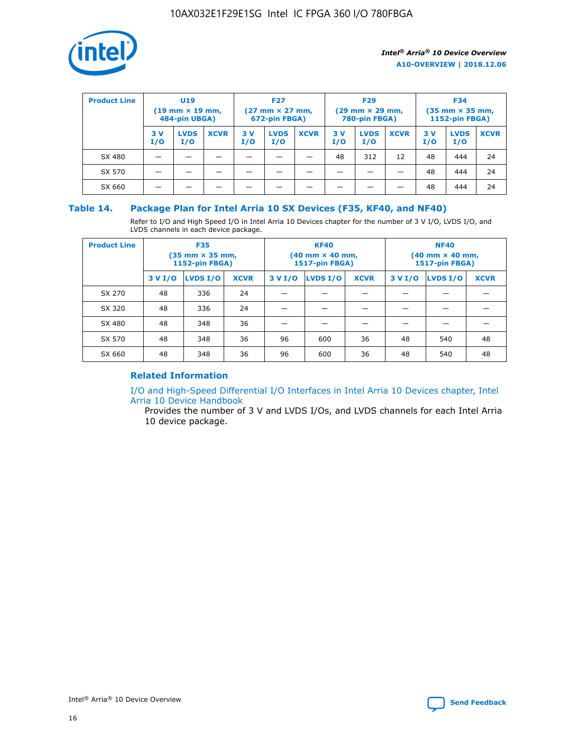

| <b>Product Line</b> | U <sub>19</sub><br>$(19 \text{ mm} \times 19 \text{ mm})$<br>484-pin UBGA) |                    | <b>F27</b><br>$(27 \text{ mm} \times 27 \text{ mm})$<br>672-pin FBGA) |           |                    | <b>F29</b><br>$(29$ mm $\times$ 29 mm,<br>780-pin FBGA) |           |                    | <b>F34</b><br>$(35$ mm $\times$ 35 mm,<br><b>1152-pin FBGA)</b> |           |                    |             |
|---------------------|----------------------------------------------------------------------------|--------------------|-----------------------------------------------------------------------|-----------|--------------------|---------------------------------------------------------|-----------|--------------------|-----------------------------------------------------------------|-----------|--------------------|-------------|
|                     | 3V<br>I/O                                                                  | <b>LVDS</b><br>I/O | <b>XCVR</b>                                                           | 3V<br>I/O | <b>LVDS</b><br>I/O | <b>XCVR</b>                                             | 3V<br>I/O | <b>LVDS</b><br>I/O | <b>XCVR</b>                                                     | 3V<br>I/O | <b>LVDS</b><br>I/O | <b>XCVR</b> |
| SX 480              |                                                                            |                    |                                                                       |           |                    |                                                         | 48        | 312                | 12                                                              | 48        | 444                | 24          |
| SX 570              |                                                                            |                    |                                                                       |           |                    |                                                         |           |                    |                                                                 | 48        | 444                | 24          |
| SX 660              |                                                                            |                    |                                                                       |           |                    |                                                         |           |                    |                                                                 | 48        | 444                | 24          |

## **Table 14. Package Plan for Intel Arria 10 SX Devices (F35, KF40, and NF40)**

Refer to I/O and High Speed I/O in Intel Arria 10 Devices chapter for the number of 3 V I/O, LVDS I/O, and LVDS channels in each device package.

| <b>Product Line</b> | <b>F35</b><br>(35 mm × 35 mm,<br><b>1152-pin FBGA)</b> |          |             |                                           | <b>KF40</b><br>(40 mm × 40 mm,<br>1517-pin FBGA) |    | <b>NF40</b><br>$(40 \text{ mm} \times 40 \text{ mm})$<br>1517-pin FBGA) |          |             |  |
|---------------------|--------------------------------------------------------|----------|-------------|-------------------------------------------|--------------------------------------------------|----|-------------------------------------------------------------------------|----------|-------------|--|
|                     | 3 V I/O                                                | LVDS I/O | <b>XCVR</b> | <b>LVDS I/O</b><br>3 V I/O<br><b>XCVR</b> |                                                  |    | 3 V I/O                                                                 | LVDS I/O | <b>XCVR</b> |  |
| SX 270              | 48                                                     | 336      | 24          |                                           |                                                  |    |                                                                         |          |             |  |
| SX 320              | 48                                                     | 336      | 24          |                                           |                                                  |    |                                                                         |          |             |  |
| SX 480              | 48                                                     | 348      | 36          |                                           |                                                  |    |                                                                         |          |             |  |
| SX 570              | 48                                                     | 348      | 36          | 96                                        | 600                                              | 36 | 48                                                                      | 540      | 48          |  |
| SX 660              | 48                                                     | 348      | 36          | 96                                        | 600                                              | 36 | 48                                                                      | 540      | 48          |  |

# **Related Information**

[I/O and High-Speed Differential I/O Interfaces in Intel Arria 10 Devices chapter, Intel](https://www.intel.com/content/www/us/en/programmable/documentation/sam1403482614086.html#sam1403482030321) [Arria 10 Device Handbook](https://www.intel.com/content/www/us/en/programmable/documentation/sam1403482614086.html#sam1403482030321)

Provides the number of 3 V and LVDS I/Os, and LVDS channels for each Intel Arria 10 device package.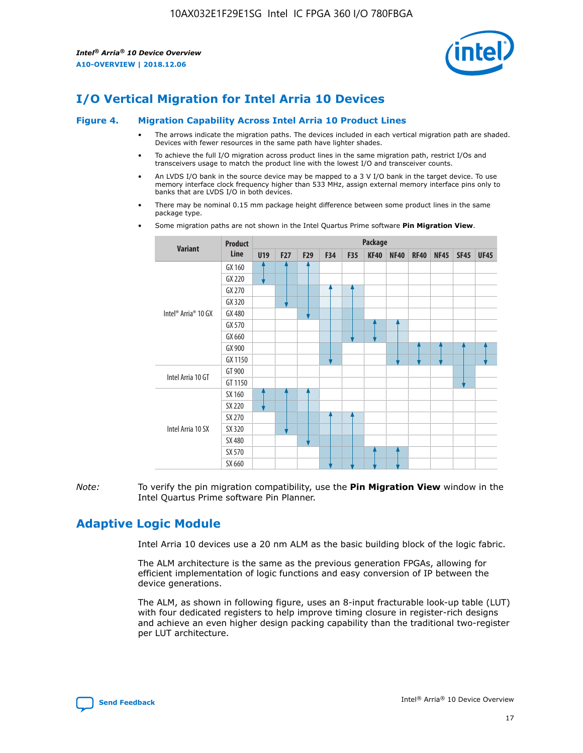

# **I/O Vertical Migration for Intel Arria 10 Devices**

#### **Figure 4. Migration Capability Across Intel Arria 10 Product Lines**

- The arrows indicate the migration paths. The devices included in each vertical migration path are shaded. Devices with fewer resources in the same path have lighter shades.
- To achieve the full I/O migration across product lines in the same migration path, restrict I/Os and transceivers usage to match the product line with the lowest I/O and transceiver counts.
- An LVDS I/O bank in the source device may be mapped to a 3 V I/O bank in the target device. To use memory interface clock frequency higher than 533 MHz, assign external memory interface pins only to banks that are LVDS I/O in both devices.
- There may be nominal 0.15 mm package height difference between some product lines in the same package type.
	- **Variant Product Line Package U19 F27 F29 F34 F35 KF40 NF40 RF40 NF45 SF45 UF45** Intel® Arria® 10 GX GX 160 GX 220 GX 270 GX 320 GX 480 GX 570 GX 660 GX 900 GX 1150 Intel Arria 10 GT GT 900 GT 1150 Intel Arria 10 SX SX 160 SX 220 SX 270 SX 320 SX 480 SX 570 SX 660
- Some migration paths are not shown in the Intel Quartus Prime software **Pin Migration View**.

*Note:* To verify the pin migration compatibility, use the **Pin Migration View** window in the Intel Quartus Prime software Pin Planner.

# **Adaptive Logic Module**

Intel Arria 10 devices use a 20 nm ALM as the basic building block of the logic fabric.

The ALM architecture is the same as the previous generation FPGAs, allowing for efficient implementation of logic functions and easy conversion of IP between the device generations.

The ALM, as shown in following figure, uses an 8-input fracturable look-up table (LUT) with four dedicated registers to help improve timing closure in register-rich designs and achieve an even higher design packing capability than the traditional two-register per LUT architecture.

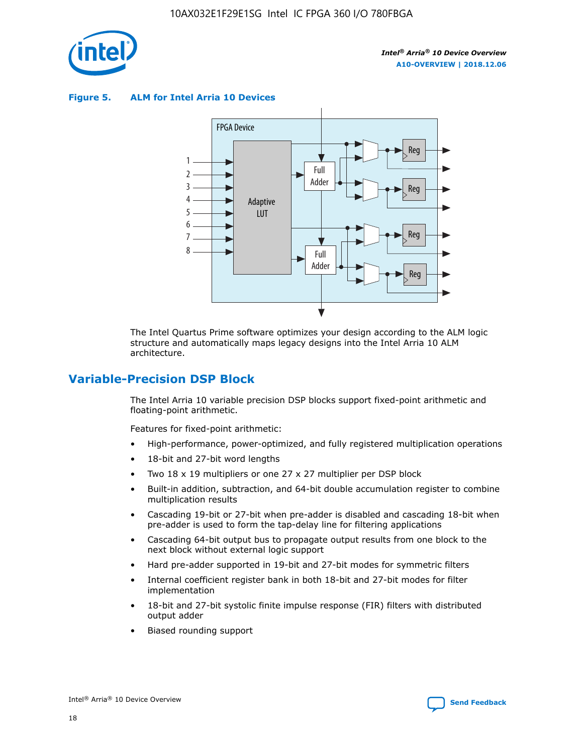

**Figure 5. ALM for Intel Arria 10 Devices**



The Intel Quartus Prime software optimizes your design according to the ALM logic structure and automatically maps legacy designs into the Intel Arria 10 ALM architecture.

# **Variable-Precision DSP Block**

The Intel Arria 10 variable precision DSP blocks support fixed-point arithmetic and floating-point arithmetic.

Features for fixed-point arithmetic:

- High-performance, power-optimized, and fully registered multiplication operations
- 18-bit and 27-bit word lengths
- Two 18 x 19 multipliers or one 27 x 27 multiplier per DSP block
- Built-in addition, subtraction, and 64-bit double accumulation register to combine multiplication results
- Cascading 19-bit or 27-bit when pre-adder is disabled and cascading 18-bit when pre-adder is used to form the tap-delay line for filtering applications
- Cascading 64-bit output bus to propagate output results from one block to the next block without external logic support
- Hard pre-adder supported in 19-bit and 27-bit modes for symmetric filters
- Internal coefficient register bank in both 18-bit and 27-bit modes for filter implementation
- 18-bit and 27-bit systolic finite impulse response (FIR) filters with distributed output adder
- Biased rounding support

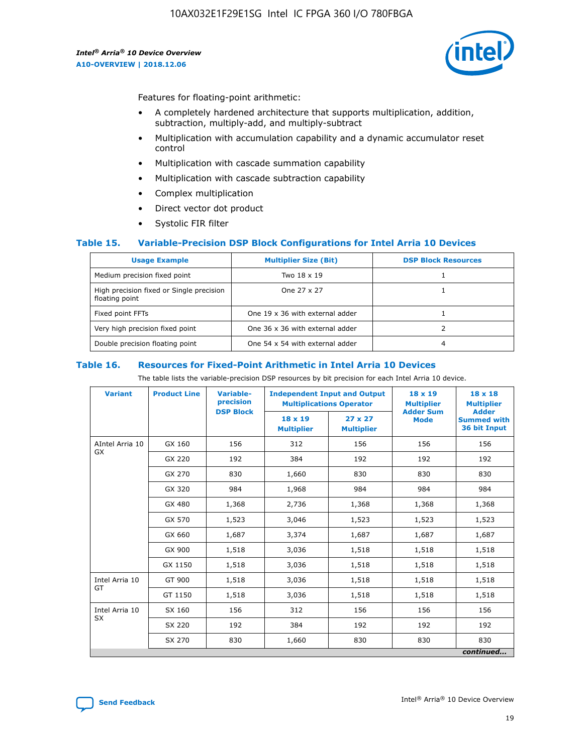

Features for floating-point arithmetic:

- A completely hardened architecture that supports multiplication, addition, subtraction, multiply-add, and multiply-subtract
- Multiplication with accumulation capability and a dynamic accumulator reset control
- Multiplication with cascade summation capability
- Multiplication with cascade subtraction capability
- Complex multiplication
- Direct vector dot product
- Systolic FIR filter

#### **Table 15. Variable-Precision DSP Block Configurations for Intel Arria 10 Devices**

| <b>Usage Example</b>                                       | <b>Multiplier Size (Bit)</b>    | <b>DSP Block Resources</b> |
|------------------------------------------------------------|---------------------------------|----------------------------|
| Medium precision fixed point                               | Two 18 x 19                     |                            |
| High precision fixed or Single precision<br>floating point | One 27 x 27                     |                            |
| Fixed point FFTs                                           | One 19 x 36 with external adder |                            |
| Very high precision fixed point                            | One 36 x 36 with external adder |                            |
| Double precision floating point                            | One 54 x 54 with external adder | 4                          |

#### **Table 16. Resources for Fixed-Point Arithmetic in Intel Arria 10 Devices**

The table lists the variable-precision DSP resources by bit precision for each Intel Arria 10 device.

| <b>Variant</b>  | <b>Product Line</b> | <b>Variable-</b><br>precision<br><b>DSP Block</b> | <b>Independent Input and Output</b><br><b>Multiplications Operator</b> |                                     | 18 x 19<br><b>Multiplier</b><br><b>Adder Sum</b> | $18 \times 18$<br><b>Multiplier</b><br><b>Adder</b> |
|-----------------|---------------------|---------------------------------------------------|------------------------------------------------------------------------|-------------------------------------|--------------------------------------------------|-----------------------------------------------------|
|                 |                     |                                                   | 18 x 19<br><b>Multiplier</b>                                           | $27 \times 27$<br><b>Multiplier</b> | <b>Mode</b>                                      | <b>Summed with</b><br>36 bit Input                  |
| AIntel Arria 10 | GX 160              | 156                                               | 312                                                                    | 156                                 | 156                                              | 156                                                 |
| GX              | GX 220              | 192                                               | 384                                                                    | 192                                 | 192                                              | 192                                                 |
|                 | GX 270              | 830                                               | 1,660                                                                  | 830                                 | 830                                              | 830                                                 |
|                 | GX 320              | 984                                               | 1,968                                                                  | 984                                 | 984                                              | 984                                                 |
|                 | GX 480              | 1,368                                             | 2,736                                                                  | 1,368                               | 1,368                                            | 1,368                                               |
|                 | GX 570              | 1,523                                             | 3,046                                                                  | 1,523                               | 1,523                                            | 1,523                                               |
|                 | GX 660              | 1,687                                             | 3,374                                                                  | 1,687                               | 1,687                                            | 1,687                                               |
|                 | GX 900              | 1,518                                             | 3,036                                                                  | 1,518                               | 1,518                                            | 1,518                                               |
|                 | GX 1150             | 1,518                                             | 3,036                                                                  | 1,518                               | 1,518                                            | 1,518                                               |
| Intel Arria 10  | GT 900              | 1,518                                             | 3,036                                                                  | 1,518                               | 1,518                                            | 1,518                                               |
| GT              | GT 1150             | 1,518                                             | 3,036                                                                  | 1,518                               | 1,518                                            | 1,518                                               |
| Intel Arria 10  | SX 160              | 156                                               | 312                                                                    | 156                                 | 156                                              | 156                                                 |
| <b>SX</b>       | SX 220              | 192                                               | 384                                                                    | 192                                 | 192                                              | 192                                                 |
|                 | SX 270              | 830                                               | 1,660                                                                  | 830                                 | 830                                              | 830                                                 |
|                 |                     |                                                   |                                                                        |                                     |                                                  | continued                                           |

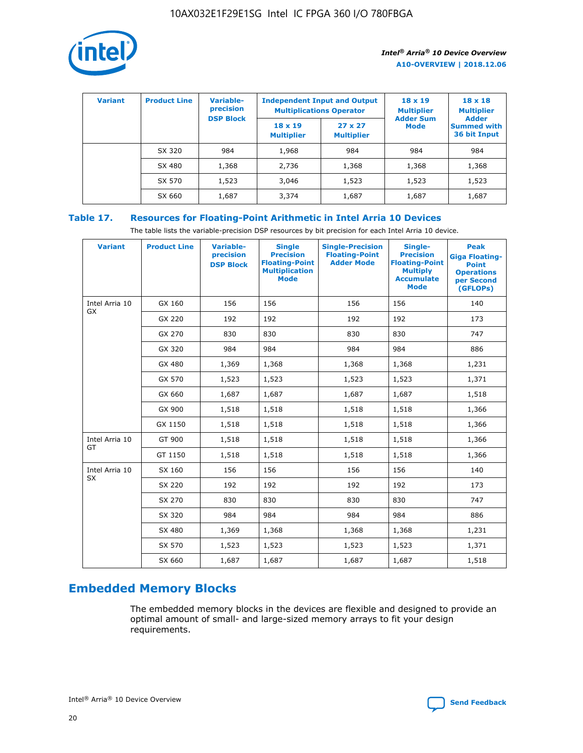

| <b>Variant</b> | <b>Product Line</b> | Variable-<br>precision | <b>Independent Input and Output</b><br><b>Multiplications Operator</b> |                                     | $18 \times 19$<br><b>Multiplier</b> | $18 \times 18$<br><b>Multiplier</b><br><b>Adder</b> |  |
|----------------|---------------------|------------------------|------------------------------------------------------------------------|-------------------------------------|-------------------------------------|-----------------------------------------------------|--|
|                |                     | <b>DSP Block</b>       | $18 \times 19$<br><b>Multiplier</b>                                    | $27 \times 27$<br><b>Multiplier</b> | <b>Adder Sum</b><br><b>Mode</b>     | <b>Summed with</b><br>36 bit Input                  |  |
|                | SX 320              | 984                    | 1,968                                                                  | 984                                 | 984                                 | 984                                                 |  |
|                | SX 480              | 1,368                  | 2,736                                                                  | 1,368                               | 1,368                               | 1,368                                               |  |
|                | SX 570              | 1,523                  | 3,046                                                                  | 1,523                               | 1,523                               | 1,523                                               |  |
|                | SX 660              | 1,687                  | 3,374                                                                  | 1,687                               | 1,687                               | 1,687                                               |  |

# **Table 17. Resources for Floating-Point Arithmetic in Intel Arria 10 Devices**

The table lists the variable-precision DSP resources by bit precision for each Intel Arria 10 device.

| <b>Variant</b> | <b>Product Line</b> | <b>Variable-</b><br>precision<br><b>DSP Block</b> | <b>Single</b><br><b>Precision</b><br><b>Floating-Point</b><br><b>Multiplication</b><br><b>Mode</b> | <b>Single-Precision</b><br><b>Floating-Point</b><br><b>Adder Mode</b> | Single-<br><b>Precision</b><br><b>Floating-Point</b><br><b>Multiply</b><br><b>Accumulate</b><br><b>Mode</b> | <b>Peak</b><br><b>Giga Floating-</b><br><b>Point</b><br><b>Operations</b><br>per Second<br>(GFLOPs) |
|----------------|---------------------|---------------------------------------------------|----------------------------------------------------------------------------------------------------|-----------------------------------------------------------------------|-------------------------------------------------------------------------------------------------------------|-----------------------------------------------------------------------------------------------------|
| Intel Arria 10 | GX 160              | 156                                               | 156                                                                                                | 156                                                                   | 156                                                                                                         | 140                                                                                                 |
| GX             | GX 220              | 192                                               | 192                                                                                                | 192                                                                   | 192                                                                                                         | 173                                                                                                 |
|                | GX 270              | 830                                               | 830                                                                                                | 830                                                                   | 830                                                                                                         | 747                                                                                                 |
|                | GX 320              | 984                                               | 984                                                                                                | 984                                                                   | 984                                                                                                         | 886                                                                                                 |
|                | GX 480              | 1,369                                             | 1,368                                                                                              | 1,368                                                                 | 1,368                                                                                                       | 1,231                                                                                               |
|                | GX 570              | 1,523                                             | 1,523                                                                                              | 1,523                                                                 | 1,523                                                                                                       | 1,371                                                                                               |
|                | GX 660              | 1,687                                             | 1,687                                                                                              | 1,687                                                                 | 1,687                                                                                                       | 1,518                                                                                               |
|                | GX 900              | 1,518                                             | 1,518                                                                                              | 1,518                                                                 | 1,518                                                                                                       | 1,366                                                                                               |
|                | GX 1150             | 1,518                                             | 1,518                                                                                              | 1,518                                                                 | 1,518                                                                                                       | 1,366                                                                                               |
| Intel Arria 10 | GT 900              | 1,518                                             | 1,518                                                                                              | 1,518                                                                 | 1,518                                                                                                       | 1,366                                                                                               |
| GT             | GT 1150             | 1,518                                             | 1,518                                                                                              | 1,518                                                                 | 1,518                                                                                                       | 1,366                                                                                               |
| Intel Arria 10 | SX 160              | 156                                               | 156                                                                                                | 156                                                                   | 156                                                                                                         | 140                                                                                                 |
| <b>SX</b>      | SX 220              | 192                                               | 192                                                                                                | 192                                                                   | 192                                                                                                         | 173                                                                                                 |
|                | SX 270              | 830                                               | 830                                                                                                | 830                                                                   | 830                                                                                                         | 747                                                                                                 |
|                | SX 320              | 984                                               | 984                                                                                                | 984                                                                   | 984                                                                                                         | 886                                                                                                 |
|                | SX 480              | 1,369                                             | 1,368                                                                                              | 1,368                                                                 | 1,368                                                                                                       | 1,231                                                                                               |
|                | SX 570              | 1,523                                             | 1,523                                                                                              | 1,523                                                                 | 1,523                                                                                                       | 1,371                                                                                               |
|                | SX 660              | 1,687                                             | 1,687                                                                                              | 1,687                                                                 | 1,687                                                                                                       | 1,518                                                                                               |

# **Embedded Memory Blocks**

The embedded memory blocks in the devices are flexible and designed to provide an optimal amount of small- and large-sized memory arrays to fit your design requirements.

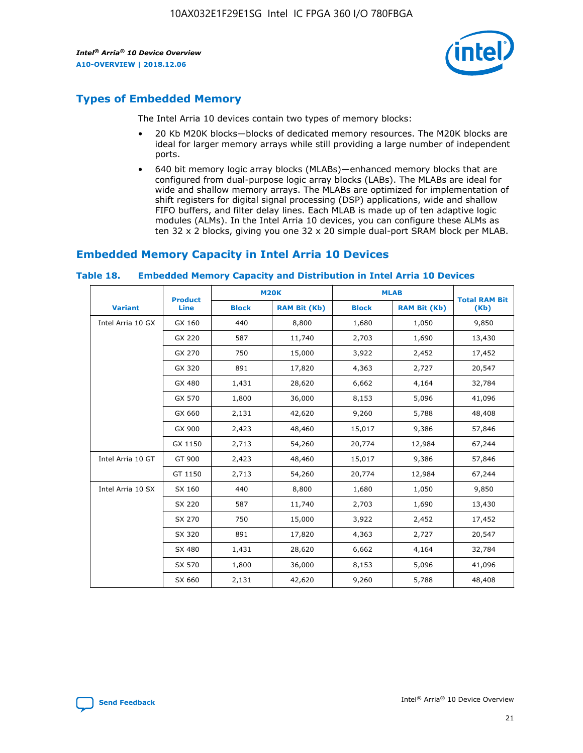

# **Types of Embedded Memory**

The Intel Arria 10 devices contain two types of memory blocks:

- 20 Kb M20K blocks—blocks of dedicated memory resources. The M20K blocks are ideal for larger memory arrays while still providing a large number of independent ports.
- 640 bit memory logic array blocks (MLABs)—enhanced memory blocks that are configured from dual-purpose logic array blocks (LABs). The MLABs are ideal for wide and shallow memory arrays. The MLABs are optimized for implementation of shift registers for digital signal processing (DSP) applications, wide and shallow FIFO buffers, and filter delay lines. Each MLAB is made up of ten adaptive logic modules (ALMs). In the Intel Arria 10 devices, you can configure these ALMs as ten 32 x 2 blocks, giving you one 32 x 20 simple dual-port SRAM block per MLAB.

# **Embedded Memory Capacity in Intel Arria 10 Devices**

|                   | <b>Product</b> |              | <b>M20K</b>         | <b>MLAB</b>  |                     | <b>Total RAM Bit</b> |
|-------------------|----------------|--------------|---------------------|--------------|---------------------|----------------------|
| <b>Variant</b>    | Line           | <b>Block</b> | <b>RAM Bit (Kb)</b> | <b>Block</b> | <b>RAM Bit (Kb)</b> | (Kb)                 |
| Intel Arria 10 GX | GX 160         | 440          | 8,800               | 1,680        | 1,050               | 9,850                |
|                   | GX 220         | 587          | 11,740              | 2,703        | 1,690               | 13,430               |
|                   | GX 270         | 750          | 15,000              | 3,922        | 2,452               | 17,452               |
|                   | GX 320         | 891          | 17,820              | 4,363        | 2,727               | 20,547               |
|                   | GX 480         | 1,431        | 28,620              | 6,662        | 4,164               | 32,784               |
|                   | GX 570         | 1,800        | 36,000              | 8,153        | 5,096               | 41,096               |
|                   | GX 660         | 2,131        | 42,620              | 9,260        | 5,788               | 48,408               |
|                   | GX 900         | 2,423        | 48,460              | 15,017       | 9,386               | 57,846               |
|                   | GX 1150        | 2,713        | 54,260              | 20,774       | 12,984              | 67,244               |
| Intel Arria 10 GT | GT 900         | 2,423        | 48,460              | 15,017       | 9,386               | 57,846               |
|                   | GT 1150        | 2,713        | 54,260              | 20,774       | 12,984              | 67,244               |
| Intel Arria 10 SX | SX 160         | 440          | 8,800               | 1,680        | 1,050               | 9,850                |
|                   | SX 220         | 587          | 11,740              | 2,703        | 1,690               | 13,430               |
|                   | SX 270         | 750          | 15,000              | 3,922        | 2,452               | 17,452               |
|                   | SX 320         | 891          | 17,820              | 4,363        | 2,727               | 20,547               |
|                   | SX 480         | 1,431        | 28,620              | 6,662        | 4,164               | 32,784               |
|                   | SX 570         | 1,800        | 36,000              | 8,153        | 5,096               | 41,096               |
|                   | SX 660         | 2,131        | 42,620              | 9,260        | 5,788               | 48,408               |

#### **Table 18. Embedded Memory Capacity and Distribution in Intel Arria 10 Devices**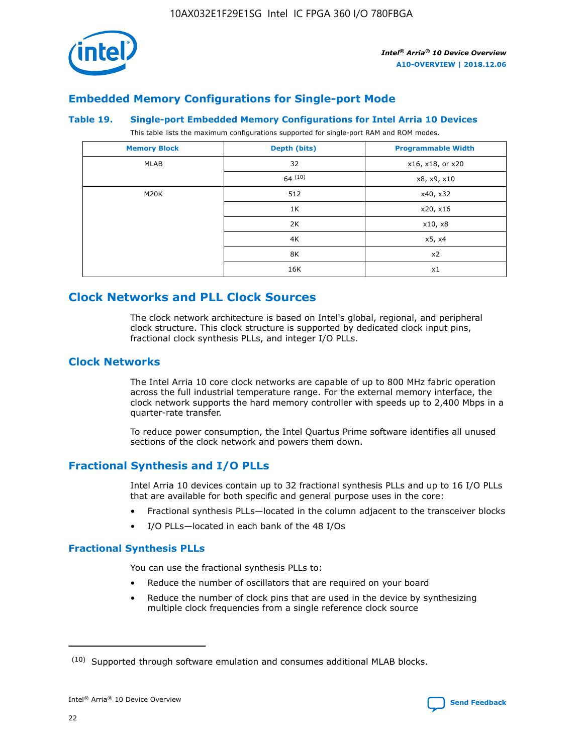

# **Embedded Memory Configurations for Single-port Mode**

#### **Table 19. Single-port Embedded Memory Configurations for Intel Arria 10 Devices**

This table lists the maximum configurations supported for single-port RAM and ROM modes.

| <b>Memory Block</b> | Depth (bits)           | <b>Programmable Width</b> |
|---------------------|------------------------|---------------------------|
| MLAB                | 32<br>x16, x18, or x20 |                           |
|                     | 64(10)                 | x8, x9, x10               |
| M20K                | 512                    | x40, x32                  |
|                     | 1K                     | x20, x16                  |
|                     | 2K                     | x10, x8                   |
|                     | 4K                     | x5, x4                    |
|                     | 8K                     | x2                        |
|                     | 16K                    | x1                        |

# **Clock Networks and PLL Clock Sources**

The clock network architecture is based on Intel's global, regional, and peripheral clock structure. This clock structure is supported by dedicated clock input pins, fractional clock synthesis PLLs, and integer I/O PLLs.

# **Clock Networks**

The Intel Arria 10 core clock networks are capable of up to 800 MHz fabric operation across the full industrial temperature range. For the external memory interface, the clock network supports the hard memory controller with speeds up to 2,400 Mbps in a quarter-rate transfer.

To reduce power consumption, the Intel Quartus Prime software identifies all unused sections of the clock network and powers them down.

# **Fractional Synthesis and I/O PLLs**

Intel Arria 10 devices contain up to 32 fractional synthesis PLLs and up to 16 I/O PLLs that are available for both specific and general purpose uses in the core:

- Fractional synthesis PLLs—located in the column adjacent to the transceiver blocks
- I/O PLLs—located in each bank of the 48 I/Os

# **Fractional Synthesis PLLs**

You can use the fractional synthesis PLLs to:

- Reduce the number of oscillators that are required on your board
- Reduce the number of clock pins that are used in the device by synthesizing multiple clock frequencies from a single reference clock source

<sup>(10)</sup> Supported through software emulation and consumes additional MLAB blocks.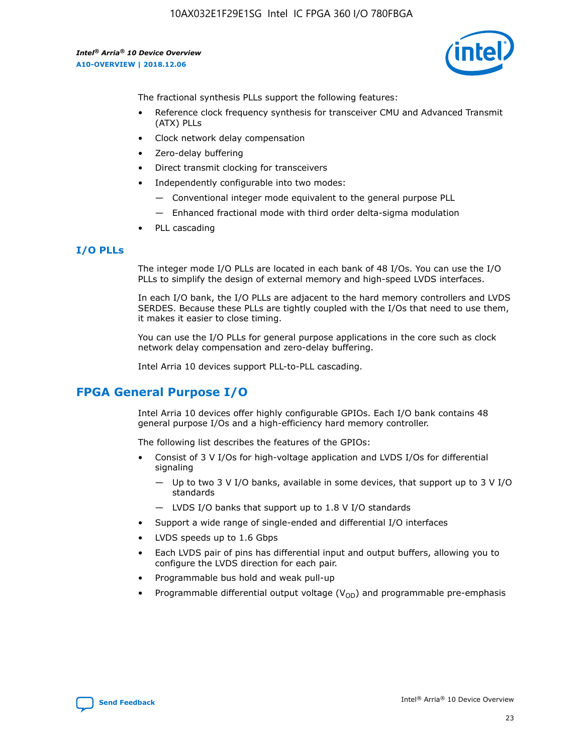10AX032E1F29E1SG Intel IC FPGA 360 I/O 780FBGA

*Intel® Arria® 10 Device Overview* **A10-OVERVIEW | 2018.12.06**



The fractional synthesis PLLs support the following features:

- Reference clock frequency synthesis for transceiver CMU and Advanced Transmit (ATX) PLLs
- Clock network delay compensation
- Zero-delay buffering
- Direct transmit clocking for transceivers
- Independently configurable into two modes:
	- Conventional integer mode equivalent to the general purpose PLL
	- Enhanced fractional mode with third order delta-sigma modulation
- PLL cascading

## **I/O PLLs**

The integer mode I/O PLLs are located in each bank of 48 I/Os. You can use the I/O PLLs to simplify the design of external memory and high-speed LVDS interfaces.

In each I/O bank, the I/O PLLs are adjacent to the hard memory controllers and LVDS SERDES. Because these PLLs are tightly coupled with the I/Os that need to use them, it makes it easier to close timing.

You can use the I/O PLLs for general purpose applications in the core such as clock network delay compensation and zero-delay buffering.

Intel Arria 10 devices support PLL-to-PLL cascading.

# **FPGA General Purpose I/O**

Intel Arria 10 devices offer highly configurable GPIOs. Each I/O bank contains 48 general purpose I/Os and a high-efficiency hard memory controller.

The following list describes the features of the GPIOs:

- Consist of 3 V I/Os for high-voltage application and LVDS I/Os for differential signaling
	- Up to two 3 V I/O banks, available in some devices, that support up to 3 V I/O standards
	- LVDS I/O banks that support up to 1.8 V I/O standards
- Support a wide range of single-ended and differential I/O interfaces
- LVDS speeds up to 1.6 Gbps
- Each LVDS pair of pins has differential input and output buffers, allowing you to configure the LVDS direction for each pair.
- Programmable bus hold and weak pull-up
- Programmable differential output voltage  $(V_{OD})$  and programmable pre-emphasis

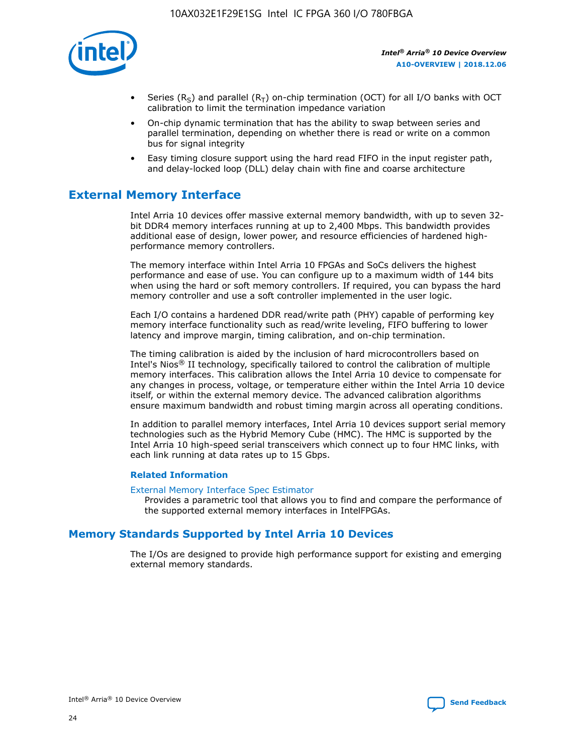

- Series (R<sub>S</sub>) and parallel (R<sub>T</sub>) on-chip termination (OCT) for all I/O banks with OCT calibration to limit the termination impedance variation
- On-chip dynamic termination that has the ability to swap between series and parallel termination, depending on whether there is read or write on a common bus for signal integrity
- Easy timing closure support using the hard read FIFO in the input register path, and delay-locked loop (DLL) delay chain with fine and coarse architecture

# **External Memory Interface**

Intel Arria 10 devices offer massive external memory bandwidth, with up to seven 32 bit DDR4 memory interfaces running at up to 2,400 Mbps. This bandwidth provides additional ease of design, lower power, and resource efficiencies of hardened highperformance memory controllers.

The memory interface within Intel Arria 10 FPGAs and SoCs delivers the highest performance and ease of use. You can configure up to a maximum width of 144 bits when using the hard or soft memory controllers. If required, you can bypass the hard memory controller and use a soft controller implemented in the user logic.

Each I/O contains a hardened DDR read/write path (PHY) capable of performing key memory interface functionality such as read/write leveling, FIFO buffering to lower latency and improve margin, timing calibration, and on-chip termination.

The timing calibration is aided by the inclusion of hard microcontrollers based on Intel's Nios® II technology, specifically tailored to control the calibration of multiple memory interfaces. This calibration allows the Intel Arria 10 device to compensate for any changes in process, voltage, or temperature either within the Intel Arria 10 device itself, or within the external memory device. The advanced calibration algorithms ensure maximum bandwidth and robust timing margin across all operating conditions.

In addition to parallel memory interfaces, Intel Arria 10 devices support serial memory technologies such as the Hybrid Memory Cube (HMC). The HMC is supported by the Intel Arria 10 high-speed serial transceivers which connect up to four HMC links, with each link running at data rates up to 15 Gbps.

#### **Related Information**

#### [External Memory Interface Spec Estimator](http://www.altera.com/technology/memory/estimator/mem-emif-index.html)

Provides a parametric tool that allows you to find and compare the performance of the supported external memory interfaces in IntelFPGAs.

# **Memory Standards Supported by Intel Arria 10 Devices**

The I/Os are designed to provide high performance support for existing and emerging external memory standards.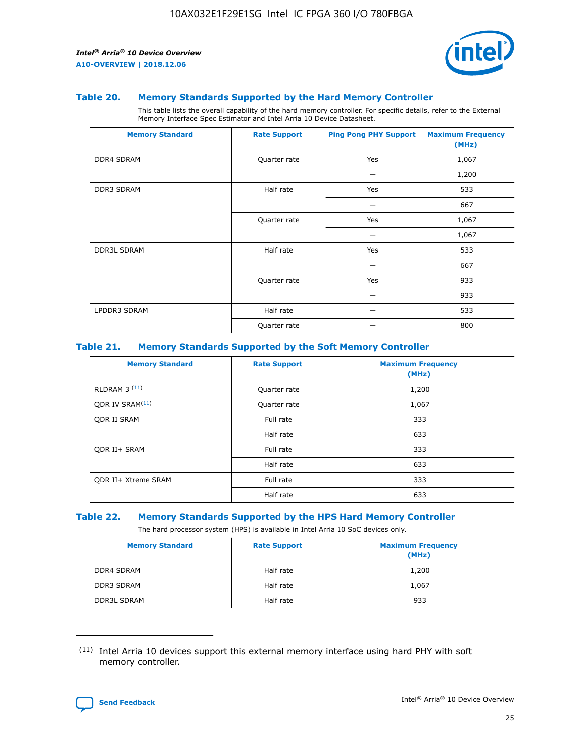

#### **Table 20. Memory Standards Supported by the Hard Memory Controller**

This table lists the overall capability of the hard memory controller. For specific details, refer to the External Memory Interface Spec Estimator and Intel Arria 10 Device Datasheet.

| <b>Memory Standard</b> | <b>Rate Support</b> | <b>Ping Pong PHY Support</b> | <b>Maximum Frequency</b><br>(MHz) |
|------------------------|---------------------|------------------------------|-----------------------------------|
| <b>DDR4 SDRAM</b>      | Quarter rate        | Yes                          | 1,067                             |
|                        |                     |                              | 1,200                             |
| DDR3 SDRAM             | Half rate           | Yes                          | 533                               |
|                        |                     |                              | 667                               |
|                        | Quarter rate        | Yes                          | 1,067                             |
|                        |                     |                              | 1,067                             |
| <b>DDR3L SDRAM</b>     | Half rate           | Yes                          | 533                               |
|                        |                     |                              | 667                               |
|                        | Quarter rate        | Yes                          | 933                               |
|                        |                     |                              | 933                               |
| LPDDR3 SDRAM           | Half rate           |                              | 533                               |
|                        | Quarter rate        |                              | 800                               |

#### **Table 21. Memory Standards Supported by the Soft Memory Controller**

| <b>Memory Standard</b>      | <b>Rate Support</b> | <b>Maximum Frequency</b><br>(MHz) |
|-----------------------------|---------------------|-----------------------------------|
| <b>RLDRAM 3 (11)</b>        | Quarter rate        | 1,200                             |
| ODR IV SRAM <sup>(11)</sup> | Quarter rate        | 1,067                             |
| <b>ODR II SRAM</b>          | Full rate           | 333                               |
|                             | Half rate           | 633                               |
| <b>ODR II+ SRAM</b>         | Full rate           | 333                               |
|                             | Half rate           | 633                               |
| <b>ODR II+ Xtreme SRAM</b>  | Full rate           | 333                               |
|                             | Half rate           | 633                               |

#### **Table 22. Memory Standards Supported by the HPS Hard Memory Controller**

The hard processor system (HPS) is available in Intel Arria 10 SoC devices only.

| <b>Memory Standard</b> | <b>Rate Support</b> | <b>Maximum Frequency</b><br>(MHz) |
|------------------------|---------------------|-----------------------------------|
| <b>DDR4 SDRAM</b>      | Half rate           | 1,200                             |
| <b>DDR3 SDRAM</b>      | Half rate           | 1,067                             |
| <b>DDR3L SDRAM</b>     | Half rate           | 933                               |

<sup>(11)</sup> Intel Arria 10 devices support this external memory interface using hard PHY with soft memory controller.

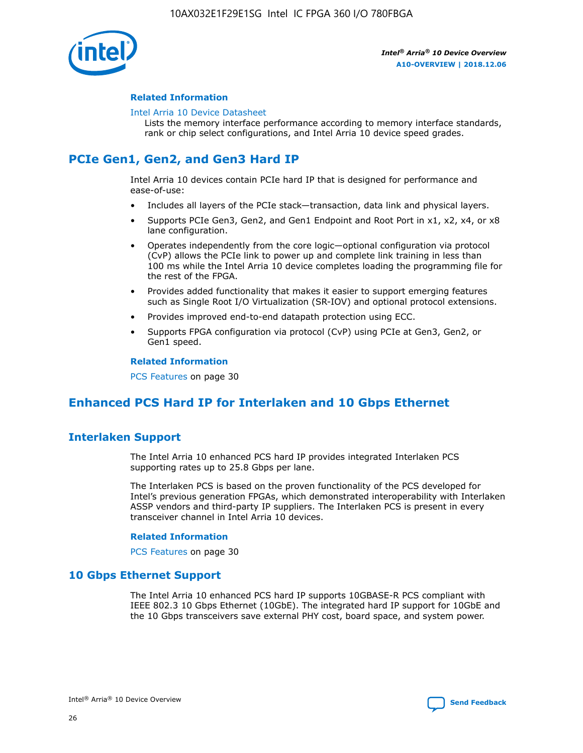

#### **Related Information**

#### [Intel Arria 10 Device Datasheet](https://www.intel.com/content/www/us/en/programmable/documentation/mcn1413182292568.html#mcn1413182153340)

Lists the memory interface performance according to memory interface standards, rank or chip select configurations, and Intel Arria 10 device speed grades.

# **PCIe Gen1, Gen2, and Gen3 Hard IP**

Intel Arria 10 devices contain PCIe hard IP that is designed for performance and ease-of-use:

- Includes all layers of the PCIe stack—transaction, data link and physical layers.
- Supports PCIe Gen3, Gen2, and Gen1 Endpoint and Root Port in x1, x2, x4, or x8 lane configuration.
- Operates independently from the core logic—optional configuration via protocol (CvP) allows the PCIe link to power up and complete link training in less than 100 ms while the Intel Arria 10 device completes loading the programming file for the rest of the FPGA.
- Provides added functionality that makes it easier to support emerging features such as Single Root I/O Virtualization (SR-IOV) and optional protocol extensions.
- Provides improved end-to-end datapath protection using ECC.
- Supports FPGA configuration via protocol (CvP) using PCIe at Gen3, Gen2, or Gen1 speed.

#### **Related Information**

PCS Features on page 30

# **Enhanced PCS Hard IP for Interlaken and 10 Gbps Ethernet**

# **Interlaken Support**

The Intel Arria 10 enhanced PCS hard IP provides integrated Interlaken PCS supporting rates up to 25.8 Gbps per lane.

The Interlaken PCS is based on the proven functionality of the PCS developed for Intel's previous generation FPGAs, which demonstrated interoperability with Interlaken ASSP vendors and third-party IP suppliers. The Interlaken PCS is present in every transceiver channel in Intel Arria 10 devices.

#### **Related Information**

PCS Features on page 30

# **10 Gbps Ethernet Support**

The Intel Arria 10 enhanced PCS hard IP supports 10GBASE-R PCS compliant with IEEE 802.3 10 Gbps Ethernet (10GbE). The integrated hard IP support for 10GbE and the 10 Gbps transceivers save external PHY cost, board space, and system power.

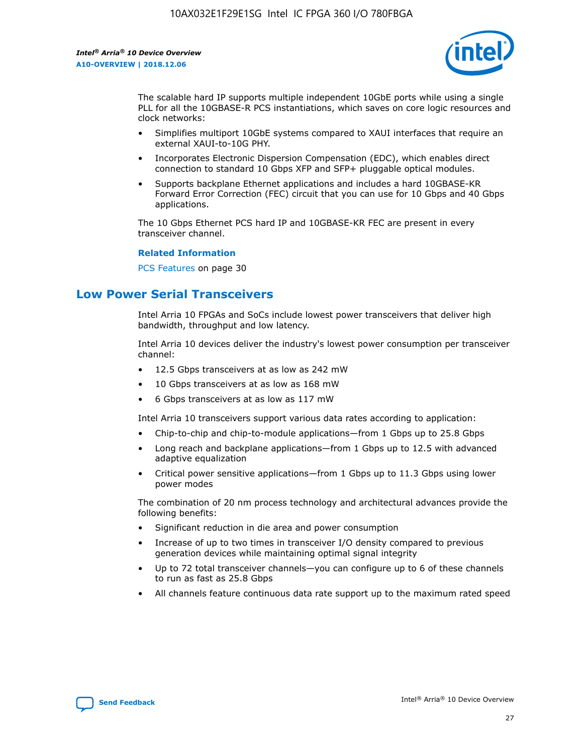

The scalable hard IP supports multiple independent 10GbE ports while using a single PLL for all the 10GBASE-R PCS instantiations, which saves on core logic resources and clock networks:

- Simplifies multiport 10GbE systems compared to XAUI interfaces that require an external XAUI-to-10G PHY.
- Incorporates Electronic Dispersion Compensation (EDC), which enables direct connection to standard 10 Gbps XFP and SFP+ pluggable optical modules.
- Supports backplane Ethernet applications and includes a hard 10GBASE-KR Forward Error Correction (FEC) circuit that you can use for 10 Gbps and 40 Gbps applications.

The 10 Gbps Ethernet PCS hard IP and 10GBASE-KR FEC are present in every transceiver channel.

#### **Related Information**

PCS Features on page 30

# **Low Power Serial Transceivers**

Intel Arria 10 FPGAs and SoCs include lowest power transceivers that deliver high bandwidth, throughput and low latency.

Intel Arria 10 devices deliver the industry's lowest power consumption per transceiver channel:

- 12.5 Gbps transceivers at as low as 242 mW
- 10 Gbps transceivers at as low as 168 mW
- 6 Gbps transceivers at as low as 117 mW

Intel Arria 10 transceivers support various data rates according to application:

- Chip-to-chip and chip-to-module applications—from 1 Gbps up to 25.8 Gbps
- Long reach and backplane applications—from 1 Gbps up to 12.5 with advanced adaptive equalization
- Critical power sensitive applications—from 1 Gbps up to 11.3 Gbps using lower power modes

The combination of 20 nm process technology and architectural advances provide the following benefits:

- Significant reduction in die area and power consumption
- Increase of up to two times in transceiver I/O density compared to previous generation devices while maintaining optimal signal integrity
- Up to 72 total transceiver channels—you can configure up to 6 of these channels to run as fast as 25.8 Gbps
- All channels feature continuous data rate support up to the maximum rated speed

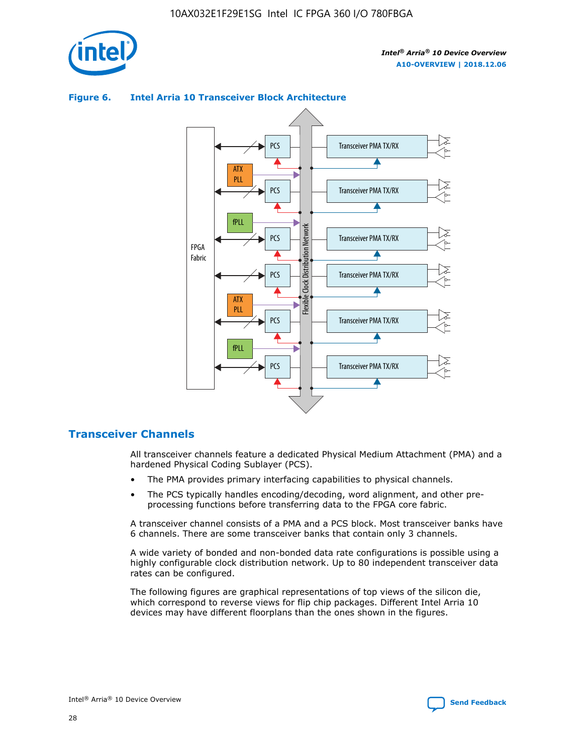

# Transceiver PMA TX/RX PCS ATX PLL Transceiver PMA TX/RX PCS fPLL Network Flexible Clock Distribution Network PCS Transceiver PMA TX/RX FPGA **Clock Distribution** Fabric PCS Transceiver PMA TX/RX ATX Flexible PLL PCS Transceiver PMA TX/RX ▲ fPLL Transceiver PMA TX/RX PCS 4

## **Figure 6. Intel Arria 10 Transceiver Block Architecture**

# **Transceiver Channels**

All transceiver channels feature a dedicated Physical Medium Attachment (PMA) and a hardened Physical Coding Sublayer (PCS).

- The PMA provides primary interfacing capabilities to physical channels.
- The PCS typically handles encoding/decoding, word alignment, and other preprocessing functions before transferring data to the FPGA core fabric.

A transceiver channel consists of a PMA and a PCS block. Most transceiver banks have 6 channels. There are some transceiver banks that contain only 3 channels.

A wide variety of bonded and non-bonded data rate configurations is possible using a highly configurable clock distribution network. Up to 80 independent transceiver data rates can be configured.

The following figures are graphical representations of top views of the silicon die, which correspond to reverse views for flip chip packages. Different Intel Arria 10 devices may have different floorplans than the ones shown in the figures.

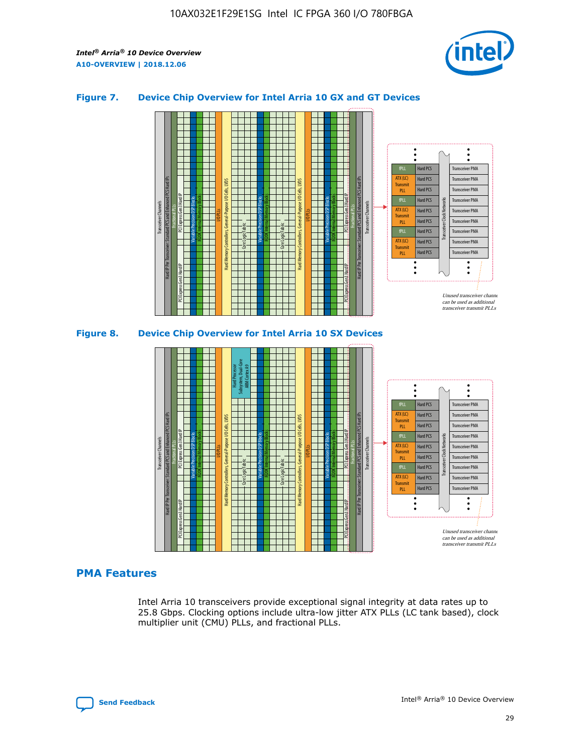

## **Figure 7. Device Chip Overview for Intel Arria 10 GX and GT Devices**



M20K Internal Memory Blocks Core Logic Fabric Transceiver Channels Hard IP Per Transceiver: Standard PCS and Enhanced PCS Hard IPs PCI Express Gen3 Hard IP Fractional PLLs M20K Internal Memory Blocks PCI Express Gen3 Hard IP Variable Precision DSP Blocks I/O PLLs Hard Memory Controllers, General-Purpose I/O Cells, LVDS Hard Processor Subsystem, Dual-Core ARM Cortex A9 M20K Internal Memory Blocks Variable Precision DSP Blocks M20K Internal Memory Blocks Core Logic Fabric I/O PLLs Hard Memory Controllers, General-Purpose I/O Cells, LVDS M20K Internal Memory Blocks Variable Precision DSP Blocks M20K Internal Memory Blocks Transceiver Channels Hard IP Per Transceiver: Standard PCS and Enhanced PCS Hard IPs PCI Express Gen3 Hard IP Fractional PLLs PCI Express Gen3 Hard IP Hard PCS Hard PCS Hard PCS Hard PCS Hard PCS Hard PCS Hard PCS Hard PCS Transceiver PMA Transceiver PMA Transceiver PMA Transceiver PMA Transceiver PMA Transceiver PMA Unused transceiver chann can be used as additional transceiver transmit PLLs Transceiver PMA Transceiver PMA Transceiver Clock Networks ATX (LC) **Transmit** PLL fPLL ATX (LC) Transmi PLL fPLL ATX (LC) **Transmit** PLL

# **PMA Features**

Intel Arria 10 transceivers provide exceptional signal integrity at data rates up to 25.8 Gbps. Clocking options include ultra-low jitter ATX PLLs (LC tank based), clock multiplier unit (CMU) PLLs, and fractional PLLs.

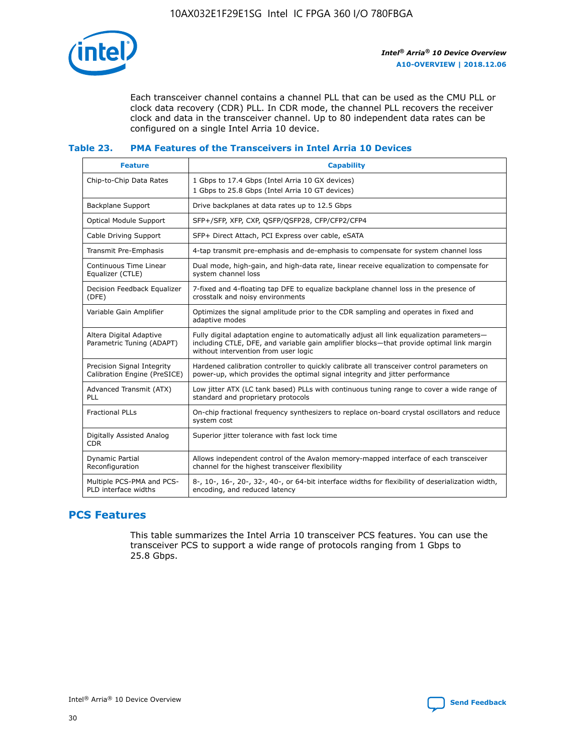

Each transceiver channel contains a channel PLL that can be used as the CMU PLL or clock data recovery (CDR) PLL. In CDR mode, the channel PLL recovers the receiver clock and data in the transceiver channel. Up to 80 independent data rates can be configured on a single Intel Arria 10 device.

## **Table 23. PMA Features of the Transceivers in Intel Arria 10 Devices**

| <b>Feature</b>                                             | <b>Capability</b>                                                                                                                                                                                                             |
|------------------------------------------------------------|-------------------------------------------------------------------------------------------------------------------------------------------------------------------------------------------------------------------------------|
| Chip-to-Chip Data Rates                                    | 1 Gbps to 17.4 Gbps (Intel Arria 10 GX devices)<br>1 Gbps to 25.8 Gbps (Intel Arria 10 GT devices)                                                                                                                            |
| <b>Backplane Support</b>                                   | Drive backplanes at data rates up to 12.5 Gbps                                                                                                                                                                                |
| <b>Optical Module Support</b>                              | SFP+/SFP, XFP, CXP, QSFP/QSFP28, CFP/CFP2/CFP4                                                                                                                                                                                |
| Cable Driving Support                                      | SFP+ Direct Attach, PCI Express over cable, eSATA                                                                                                                                                                             |
| Transmit Pre-Emphasis                                      | 4-tap transmit pre-emphasis and de-emphasis to compensate for system channel loss                                                                                                                                             |
| Continuous Time Linear<br>Equalizer (CTLE)                 | Dual mode, high-gain, and high-data rate, linear receive equalization to compensate for<br>system channel loss                                                                                                                |
| Decision Feedback Equalizer<br>(DFE)                       | 7-fixed and 4-floating tap DFE to equalize backplane channel loss in the presence of<br>crosstalk and noisy environments                                                                                                      |
| Variable Gain Amplifier                                    | Optimizes the signal amplitude prior to the CDR sampling and operates in fixed and<br>adaptive modes                                                                                                                          |
| Altera Digital Adaptive<br>Parametric Tuning (ADAPT)       | Fully digital adaptation engine to automatically adjust all link equalization parameters-<br>including CTLE, DFE, and variable gain amplifier blocks—that provide optimal link margin<br>without intervention from user logic |
| Precision Signal Integrity<br>Calibration Engine (PreSICE) | Hardened calibration controller to quickly calibrate all transceiver control parameters on<br>power-up, which provides the optimal signal integrity and jitter performance                                                    |
| Advanced Transmit (ATX)<br>PLL                             | Low jitter ATX (LC tank based) PLLs with continuous tuning range to cover a wide range of<br>standard and proprietary protocols                                                                                               |
| <b>Fractional PLLs</b>                                     | On-chip fractional frequency synthesizers to replace on-board crystal oscillators and reduce<br>system cost                                                                                                                   |
| Digitally Assisted Analog<br><b>CDR</b>                    | Superior jitter tolerance with fast lock time                                                                                                                                                                                 |
| <b>Dynamic Partial</b><br>Reconfiguration                  | Allows independent control of the Avalon memory-mapped interface of each transceiver<br>channel for the highest transceiver flexibility                                                                                       |
| Multiple PCS-PMA and PCS-<br>PLD interface widths          | 8-, 10-, 16-, 20-, 32-, 40-, or 64-bit interface widths for flexibility of deserialization width,<br>encoding, and reduced latency                                                                                            |

# **PCS Features**

This table summarizes the Intel Arria 10 transceiver PCS features. You can use the transceiver PCS to support a wide range of protocols ranging from 1 Gbps to 25.8 Gbps.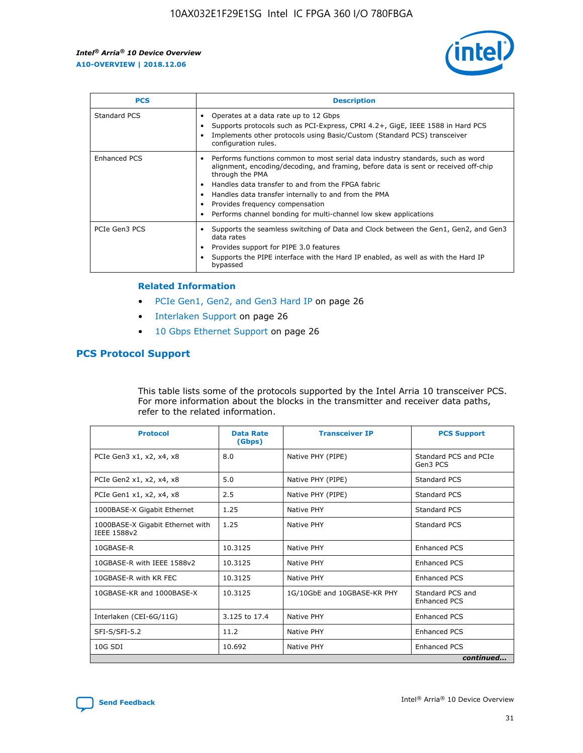

| <b>PCS</b>    | <b>Description</b>                                                                                                                                                                                                                                                                                                                                                                                             |
|---------------|----------------------------------------------------------------------------------------------------------------------------------------------------------------------------------------------------------------------------------------------------------------------------------------------------------------------------------------------------------------------------------------------------------------|
| Standard PCS  | Operates at a data rate up to 12 Gbps<br>Supports protocols such as PCI-Express, CPRI 4.2+, GigE, IEEE 1588 in Hard PCS<br>Implements other protocols using Basic/Custom (Standard PCS) transceiver<br>configuration rules.                                                                                                                                                                                    |
| Enhanced PCS  | Performs functions common to most serial data industry standards, such as word<br>alignment, encoding/decoding, and framing, before data is sent or received off-chip<br>through the PMA<br>• Handles data transfer to and from the FPGA fabric<br>Handles data transfer internally to and from the PMA<br>Provides frequency compensation<br>Performs channel bonding for multi-channel low skew applications |
| PCIe Gen3 PCS | Supports the seamless switching of Data and Clock between the Gen1, Gen2, and Gen3<br>data rates<br>Provides support for PIPE 3.0 features<br>Supports the PIPE interface with the Hard IP enabled, as well as with the Hard IP<br>bypassed                                                                                                                                                                    |

#### **Related Information**

- PCIe Gen1, Gen2, and Gen3 Hard IP on page 26
- Interlaken Support on page 26
- 10 Gbps Ethernet Support on page 26

# **PCS Protocol Support**

This table lists some of the protocols supported by the Intel Arria 10 transceiver PCS. For more information about the blocks in the transmitter and receiver data paths, refer to the related information.

| <b>Protocol</b>                                 | <b>Data Rate</b><br>(Gbps) | <b>Transceiver IP</b>       | <b>PCS Support</b>                      |
|-------------------------------------------------|----------------------------|-----------------------------|-----------------------------------------|
| PCIe Gen3 x1, x2, x4, x8                        | 8.0                        | Native PHY (PIPE)           | Standard PCS and PCIe<br>Gen3 PCS       |
| PCIe Gen2 x1, x2, x4, x8                        | 5.0                        | Native PHY (PIPE)           | <b>Standard PCS</b>                     |
| PCIe Gen1 x1, x2, x4, x8                        | 2.5                        | Native PHY (PIPE)           | Standard PCS                            |
| 1000BASE-X Gigabit Ethernet                     | 1.25                       | Native PHY                  | <b>Standard PCS</b>                     |
| 1000BASE-X Gigabit Ethernet with<br>IEEE 1588v2 | 1.25                       | Native PHY                  | Standard PCS                            |
| 10GBASE-R                                       | 10.3125                    | Native PHY                  | <b>Enhanced PCS</b>                     |
| 10GBASE-R with IEEE 1588v2                      | 10.3125                    | Native PHY                  | <b>Enhanced PCS</b>                     |
| 10GBASE-R with KR FEC                           | 10.3125                    | Native PHY                  | <b>Enhanced PCS</b>                     |
| 10GBASE-KR and 1000BASE-X                       | 10.3125                    | 1G/10GbE and 10GBASE-KR PHY | Standard PCS and<br><b>Enhanced PCS</b> |
| Interlaken (CEI-6G/11G)                         | 3.125 to 17.4              | Native PHY                  | <b>Enhanced PCS</b>                     |
| SFI-S/SFI-5.2                                   | 11.2                       | Native PHY                  | <b>Enhanced PCS</b>                     |
| $10G$ SDI                                       | 10.692                     | Native PHY                  | <b>Enhanced PCS</b>                     |
|                                                 |                            |                             | continued                               |

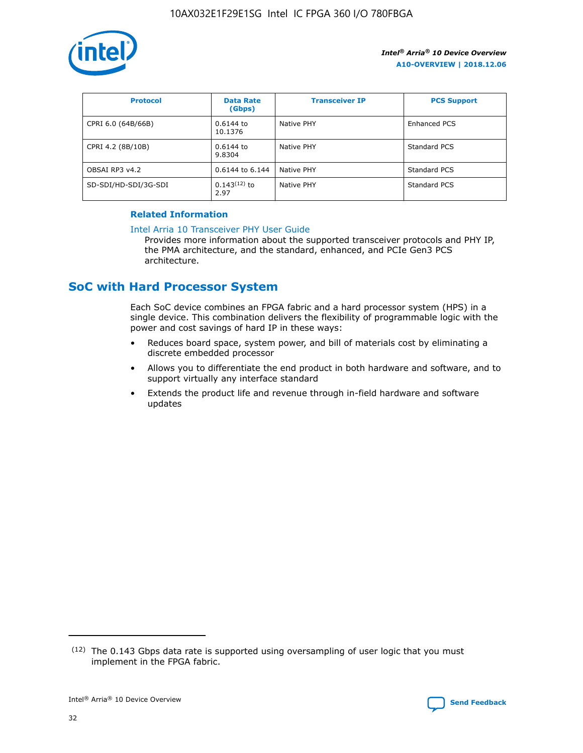

| <b>Protocol</b>      | <b>Data Rate</b><br>(Gbps) | <b>Transceiver IP</b> | <b>PCS Support</b> |
|----------------------|----------------------------|-----------------------|--------------------|
| CPRI 6.0 (64B/66B)   | 0.6144 to<br>10.1376       | Native PHY            | Enhanced PCS       |
| CPRI 4.2 (8B/10B)    | 0.6144 to<br>9.8304        | Native PHY            | Standard PCS       |
| OBSAI RP3 v4.2       | 0.6144 to 6.144            | Native PHY            | Standard PCS       |
| SD-SDI/HD-SDI/3G-SDI | $0.143(12)$ to<br>2.97     | Native PHY            | Standard PCS       |

# **Related Information**

#### [Intel Arria 10 Transceiver PHY User Guide](https://www.intel.com/content/www/us/en/programmable/documentation/nik1398707230472.html#nik1398707091164)

Provides more information about the supported transceiver protocols and PHY IP, the PMA architecture, and the standard, enhanced, and PCIe Gen3 PCS architecture.

# **SoC with Hard Processor System**

Each SoC device combines an FPGA fabric and a hard processor system (HPS) in a single device. This combination delivers the flexibility of programmable logic with the power and cost savings of hard IP in these ways:

- Reduces board space, system power, and bill of materials cost by eliminating a discrete embedded processor
- Allows you to differentiate the end product in both hardware and software, and to support virtually any interface standard
- Extends the product life and revenue through in-field hardware and software updates

 $(12)$  The 0.143 Gbps data rate is supported using oversampling of user logic that you must implement in the FPGA fabric.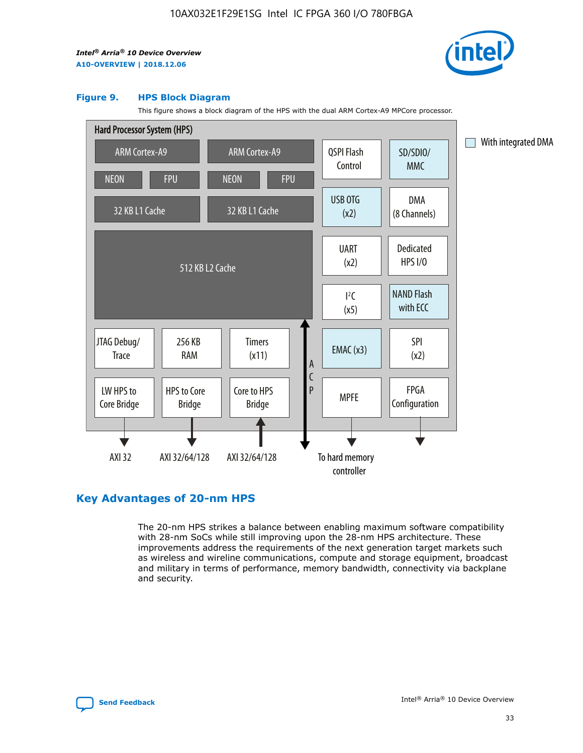

#### **Figure 9. HPS Block Diagram**

This figure shows a block diagram of the HPS with the dual ARM Cortex-A9 MPCore processor.



# **Key Advantages of 20-nm HPS**

The 20-nm HPS strikes a balance between enabling maximum software compatibility with 28-nm SoCs while still improving upon the 28-nm HPS architecture. These improvements address the requirements of the next generation target markets such as wireless and wireline communications, compute and storage equipment, broadcast and military in terms of performance, memory bandwidth, connectivity via backplane and security.

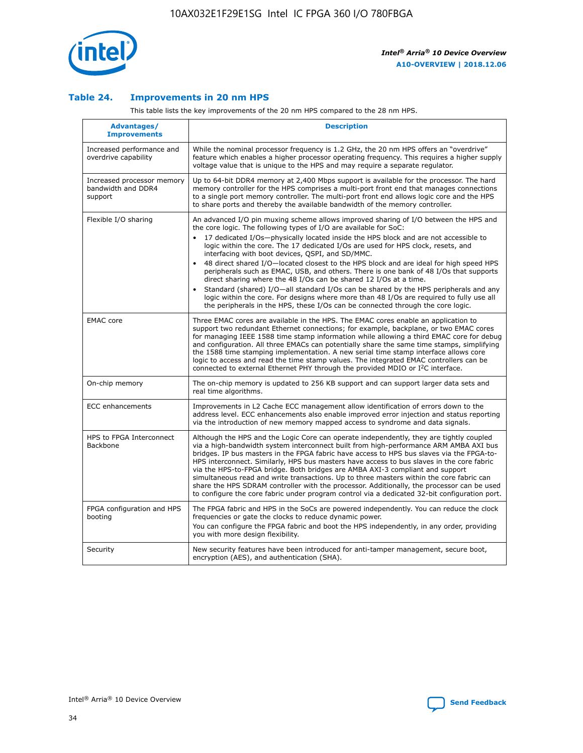

## **Table 24. Improvements in 20 nm HPS**

This table lists the key improvements of the 20 nm HPS compared to the 28 nm HPS.

| Advantages/<br><b>Improvements</b>                          | <b>Description</b>                                                                                                                                                                                                                                                                                                                                                                                                                                                                                                                                                                                                                                                                                                                                                                                                                   |
|-------------------------------------------------------------|--------------------------------------------------------------------------------------------------------------------------------------------------------------------------------------------------------------------------------------------------------------------------------------------------------------------------------------------------------------------------------------------------------------------------------------------------------------------------------------------------------------------------------------------------------------------------------------------------------------------------------------------------------------------------------------------------------------------------------------------------------------------------------------------------------------------------------------|
| Increased performance and<br>overdrive capability           | While the nominal processor frequency is 1.2 GHz, the 20 nm HPS offers an "overdrive"<br>feature which enables a higher processor operating frequency. This requires a higher supply<br>voltage value that is unique to the HPS and may require a separate requlator.                                                                                                                                                                                                                                                                                                                                                                                                                                                                                                                                                                |
| Increased processor memory<br>bandwidth and DDR4<br>support | Up to 64-bit DDR4 memory at 2,400 Mbps support is available for the processor. The hard<br>memory controller for the HPS comprises a multi-port front end that manages connections<br>to a single port memory controller. The multi-port front end allows logic core and the HPS<br>to share ports and thereby the available bandwidth of the memory controller.                                                                                                                                                                                                                                                                                                                                                                                                                                                                     |
| Flexible I/O sharing                                        | An advanced I/O pin muxing scheme allows improved sharing of I/O between the HPS and<br>the core logic. The following types of I/O are available for SoC:<br>17 dedicated I/Os-physically located inside the HPS block and are not accessible to<br>logic within the core. The 17 dedicated I/Os are used for HPS clock, resets, and<br>interfacing with boot devices, QSPI, and SD/MMC.<br>48 direct shared I/O-located closest to the HPS block and are ideal for high speed HPS<br>peripherals such as EMAC, USB, and others. There is one bank of 48 I/Os that supports<br>direct sharing where the 48 I/Os can be shared 12 I/Os at a time.<br>Standard (shared) I/O—all standard I/Os can be shared by the HPS peripherals and any<br>logic within the core. For designs where more than 48 I/Os are required to fully use all |
| <b>EMAC</b> core                                            | the peripherals in the HPS, these I/Os can be connected through the core logic.<br>Three EMAC cores are available in the HPS. The EMAC cores enable an application to                                                                                                                                                                                                                                                                                                                                                                                                                                                                                                                                                                                                                                                                |
|                                                             | support two redundant Ethernet connections; for example, backplane, or two EMAC cores<br>for managing IEEE 1588 time stamp information while allowing a third EMAC core for debug<br>and configuration. All three EMACs can potentially share the same time stamps, simplifying<br>the 1588 time stamping implementation. A new serial time stamp interface allows core<br>logic to access and read the time stamp values. The integrated EMAC controllers can be<br>connected to external Ethernet PHY through the provided MDIO or I <sup>2</sup> C interface.                                                                                                                                                                                                                                                                     |
| On-chip memory                                              | The on-chip memory is updated to 256 KB support and can support larger data sets and<br>real time algorithms.                                                                                                                                                                                                                                                                                                                                                                                                                                                                                                                                                                                                                                                                                                                        |
| <b>ECC</b> enhancements                                     | Improvements in L2 Cache ECC management allow identification of errors down to the<br>address level. ECC enhancements also enable improved error injection and status reporting<br>via the introduction of new memory mapped access to syndrome and data signals.                                                                                                                                                                                                                                                                                                                                                                                                                                                                                                                                                                    |
| HPS to FPGA Interconnect<br>Backbone                        | Although the HPS and the Logic Core can operate independently, they are tightly coupled<br>via a high-bandwidth system interconnect built from high-performance ARM AMBA AXI bus<br>bridges. IP bus masters in the FPGA fabric have access to HPS bus slaves via the FPGA-to-<br>HPS interconnect. Similarly, HPS bus masters have access to bus slaves in the core fabric<br>via the HPS-to-FPGA bridge. Both bridges are AMBA AXI-3 compliant and support<br>simultaneous read and write transactions. Up to three masters within the core fabric can<br>share the HPS SDRAM controller with the processor. Additionally, the processor can be used<br>to configure the core fabric under program control via a dedicated 32-bit configuration port.                                                                               |
| FPGA configuration and HPS<br>booting                       | The FPGA fabric and HPS in the SoCs are powered independently. You can reduce the clock<br>frequencies or gate the clocks to reduce dynamic power.<br>You can configure the FPGA fabric and boot the HPS independently, in any order, providing<br>you with more design flexibility.                                                                                                                                                                                                                                                                                                                                                                                                                                                                                                                                                 |
| Security                                                    | New security features have been introduced for anti-tamper management, secure boot,<br>encryption (AES), and authentication (SHA).                                                                                                                                                                                                                                                                                                                                                                                                                                                                                                                                                                                                                                                                                                   |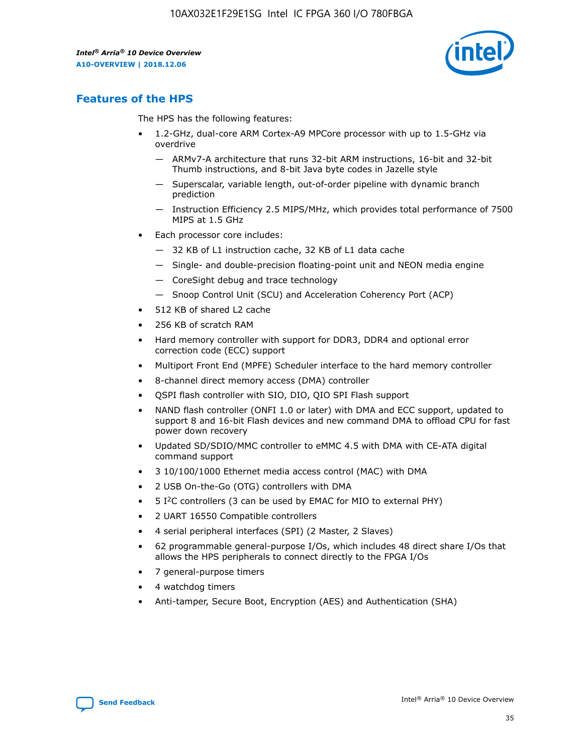

# **Features of the HPS**

The HPS has the following features:

- 1.2-GHz, dual-core ARM Cortex-A9 MPCore processor with up to 1.5-GHz via overdrive
	- ARMv7-A architecture that runs 32-bit ARM instructions, 16-bit and 32-bit Thumb instructions, and 8-bit Java byte codes in Jazelle style
	- Superscalar, variable length, out-of-order pipeline with dynamic branch prediction
	- Instruction Efficiency 2.5 MIPS/MHz, which provides total performance of 7500 MIPS at 1.5 GHz
- Each processor core includes:
	- 32 KB of L1 instruction cache, 32 KB of L1 data cache
	- Single- and double-precision floating-point unit and NEON media engine
	- CoreSight debug and trace technology
	- Snoop Control Unit (SCU) and Acceleration Coherency Port (ACP)
- 512 KB of shared L2 cache
- 256 KB of scratch RAM
- Hard memory controller with support for DDR3, DDR4 and optional error correction code (ECC) support
- Multiport Front End (MPFE) Scheduler interface to the hard memory controller
- 8-channel direct memory access (DMA) controller
- QSPI flash controller with SIO, DIO, QIO SPI Flash support
- NAND flash controller (ONFI 1.0 or later) with DMA and ECC support, updated to support 8 and 16-bit Flash devices and new command DMA to offload CPU for fast power down recovery
- Updated SD/SDIO/MMC controller to eMMC 4.5 with DMA with CE-ATA digital command support
- 3 10/100/1000 Ethernet media access control (MAC) with DMA
- 2 USB On-the-Go (OTG) controllers with DMA
- $\bullet$  5 I<sup>2</sup>C controllers (3 can be used by EMAC for MIO to external PHY)
- 2 UART 16550 Compatible controllers
- 4 serial peripheral interfaces (SPI) (2 Master, 2 Slaves)
- 62 programmable general-purpose I/Os, which includes 48 direct share I/Os that allows the HPS peripherals to connect directly to the FPGA I/Os
- 7 general-purpose timers
- 4 watchdog timers
- Anti-tamper, Secure Boot, Encryption (AES) and Authentication (SHA)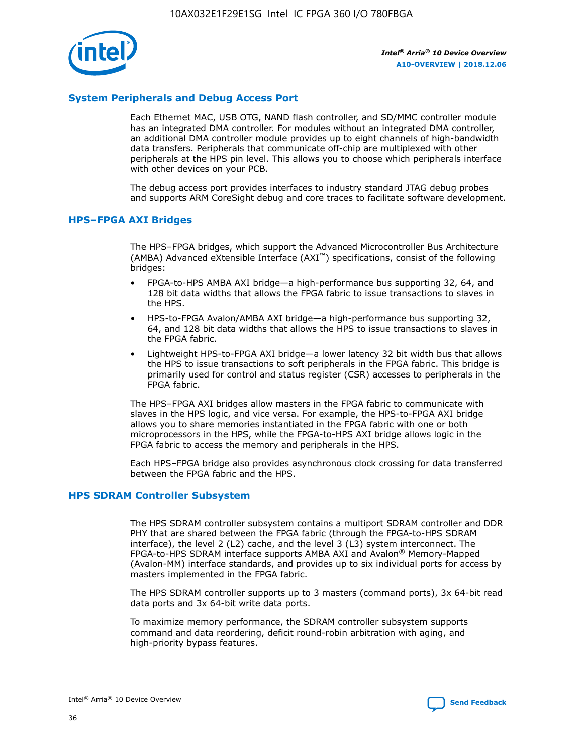

# **System Peripherals and Debug Access Port**

Each Ethernet MAC, USB OTG, NAND flash controller, and SD/MMC controller module has an integrated DMA controller. For modules without an integrated DMA controller, an additional DMA controller module provides up to eight channels of high-bandwidth data transfers. Peripherals that communicate off-chip are multiplexed with other peripherals at the HPS pin level. This allows you to choose which peripherals interface with other devices on your PCB.

The debug access port provides interfaces to industry standard JTAG debug probes and supports ARM CoreSight debug and core traces to facilitate software development.

#### **HPS–FPGA AXI Bridges**

The HPS–FPGA bridges, which support the Advanced Microcontroller Bus Architecture (AMBA) Advanced eXtensible Interface (AXI™) specifications, consist of the following bridges:

- FPGA-to-HPS AMBA AXI bridge—a high-performance bus supporting 32, 64, and 128 bit data widths that allows the FPGA fabric to issue transactions to slaves in the HPS.
- HPS-to-FPGA Avalon/AMBA AXI bridge—a high-performance bus supporting 32, 64, and 128 bit data widths that allows the HPS to issue transactions to slaves in the FPGA fabric.
- Lightweight HPS-to-FPGA AXI bridge—a lower latency 32 bit width bus that allows the HPS to issue transactions to soft peripherals in the FPGA fabric. This bridge is primarily used for control and status register (CSR) accesses to peripherals in the FPGA fabric.

The HPS–FPGA AXI bridges allow masters in the FPGA fabric to communicate with slaves in the HPS logic, and vice versa. For example, the HPS-to-FPGA AXI bridge allows you to share memories instantiated in the FPGA fabric with one or both microprocessors in the HPS, while the FPGA-to-HPS AXI bridge allows logic in the FPGA fabric to access the memory and peripherals in the HPS.

Each HPS–FPGA bridge also provides asynchronous clock crossing for data transferred between the FPGA fabric and the HPS.

#### **HPS SDRAM Controller Subsystem**

The HPS SDRAM controller subsystem contains a multiport SDRAM controller and DDR PHY that are shared between the FPGA fabric (through the FPGA-to-HPS SDRAM interface), the level 2 (L2) cache, and the level 3 (L3) system interconnect. The FPGA-to-HPS SDRAM interface supports AMBA AXI and Avalon® Memory-Mapped (Avalon-MM) interface standards, and provides up to six individual ports for access by masters implemented in the FPGA fabric.

The HPS SDRAM controller supports up to 3 masters (command ports), 3x 64-bit read data ports and 3x 64-bit write data ports.

To maximize memory performance, the SDRAM controller subsystem supports command and data reordering, deficit round-robin arbitration with aging, and high-priority bypass features.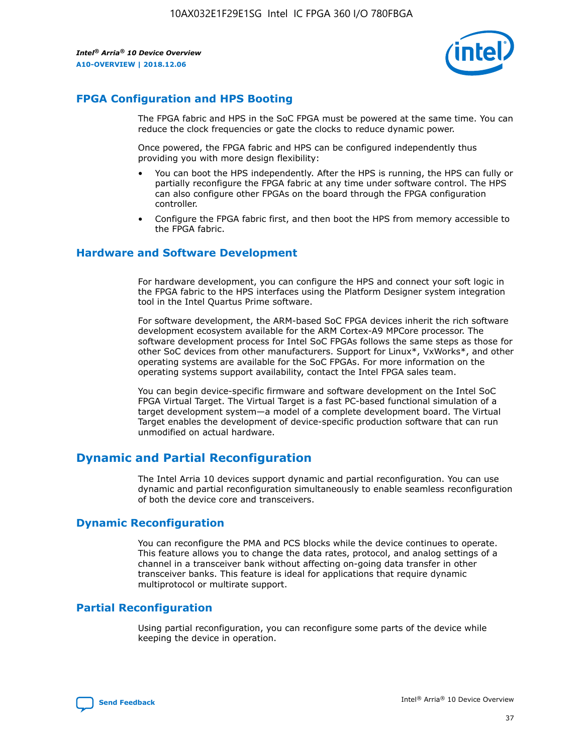

# **FPGA Configuration and HPS Booting**

The FPGA fabric and HPS in the SoC FPGA must be powered at the same time. You can reduce the clock frequencies or gate the clocks to reduce dynamic power.

Once powered, the FPGA fabric and HPS can be configured independently thus providing you with more design flexibility:

- You can boot the HPS independently. After the HPS is running, the HPS can fully or partially reconfigure the FPGA fabric at any time under software control. The HPS can also configure other FPGAs on the board through the FPGA configuration controller.
- Configure the FPGA fabric first, and then boot the HPS from memory accessible to the FPGA fabric.

## **Hardware and Software Development**

For hardware development, you can configure the HPS and connect your soft logic in the FPGA fabric to the HPS interfaces using the Platform Designer system integration tool in the Intel Quartus Prime software.

For software development, the ARM-based SoC FPGA devices inherit the rich software development ecosystem available for the ARM Cortex-A9 MPCore processor. The software development process for Intel SoC FPGAs follows the same steps as those for other SoC devices from other manufacturers. Support for Linux\*, VxWorks\*, and other operating systems are available for the SoC FPGAs. For more information on the operating systems support availability, contact the Intel FPGA sales team.

You can begin device-specific firmware and software development on the Intel SoC FPGA Virtual Target. The Virtual Target is a fast PC-based functional simulation of a target development system—a model of a complete development board. The Virtual Target enables the development of device-specific production software that can run unmodified on actual hardware.

# **Dynamic and Partial Reconfiguration**

The Intel Arria 10 devices support dynamic and partial reconfiguration. You can use dynamic and partial reconfiguration simultaneously to enable seamless reconfiguration of both the device core and transceivers.

# **Dynamic Reconfiguration**

You can reconfigure the PMA and PCS blocks while the device continues to operate. This feature allows you to change the data rates, protocol, and analog settings of a channel in a transceiver bank without affecting on-going data transfer in other transceiver banks. This feature is ideal for applications that require dynamic multiprotocol or multirate support.

# **Partial Reconfiguration**

Using partial reconfiguration, you can reconfigure some parts of the device while keeping the device in operation.

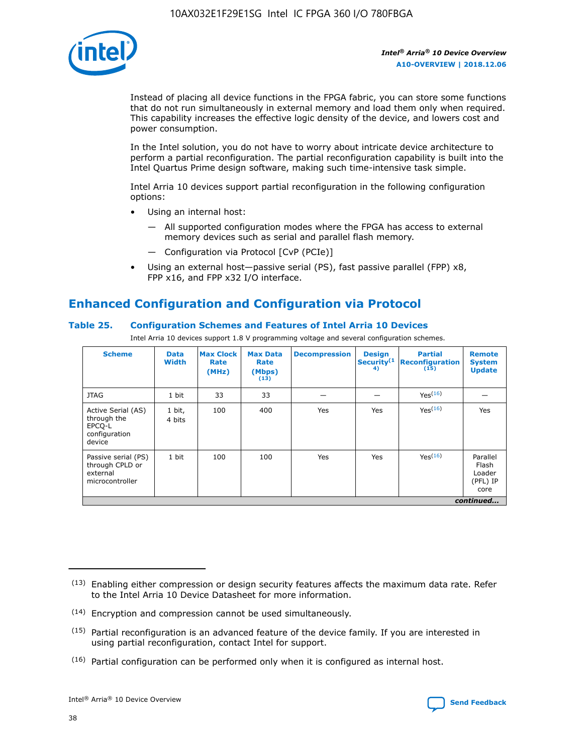

Instead of placing all device functions in the FPGA fabric, you can store some functions that do not run simultaneously in external memory and load them only when required. This capability increases the effective logic density of the device, and lowers cost and power consumption.

In the Intel solution, you do not have to worry about intricate device architecture to perform a partial reconfiguration. The partial reconfiguration capability is built into the Intel Quartus Prime design software, making such time-intensive task simple.

Intel Arria 10 devices support partial reconfiguration in the following configuration options:

- Using an internal host:
	- All supported configuration modes where the FPGA has access to external memory devices such as serial and parallel flash memory.
	- Configuration via Protocol [CvP (PCIe)]
- Using an external host—passive serial (PS), fast passive parallel (FPP) x8, FPP x16, and FPP x32 I/O interface.

# **Enhanced Configuration and Configuration via Protocol**

## **Table 25. Configuration Schemes and Features of Intel Arria 10 Devices**

Intel Arria 10 devices support 1.8 V programming voltage and several configuration schemes.

| <b>Scheme</b>                                                          | <b>Data</b><br><b>Width</b> | <b>Max Clock</b><br>Rate<br>(MHz) | <b>Max Data</b><br>Rate<br>(Mbps)<br>(13) | <b>Decompression</b> | <b>Design</b><br>Security <sup>(1</sup><br>4) | <b>Partial</b><br><b>Reconfiguration</b><br>(15) | <b>Remote</b><br><b>System</b><br><b>Update</b> |
|------------------------------------------------------------------------|-----------------------------|-----------------------------------|-------------------------------------------|----------------------|-----------------------------------------------|--------------------------------------------------|-------------------------------------------------|
| <b>JTAG</b>                                                            | 1 bit                       | 33                                | 33                                        |                      |                                               | Yes(16)                                          |                                                 |
| Active Serial (AS)<br>through the<br>EPCO-L<br>configuration<br>device | 1 bit,<br>4 bits            | 100                               | 400                                       | Yes                  | Yes                                           | $Y_{PS}(16)$                                     | Yes                                             |
| Passive serial (PS)<br>through CPLD or<br>external<br>microcontroller  | 1 bit                       | 100                               | 100                                       | Yes                  | Yes                                           | Yes(16)                                          | Parallel<br>Flash<br>Loader<br>(PFL) IP<br>core |
|                                                                        |                             |                                   |                                           |                      |                                               |                                                  | continued                                       |

<sup>(13)</sup> Enabling either compression or design security features affects the maximum data rate. Refer to the Intel Arria 10 Device Datasheet for more information.

<sup>(14)</sup> Encryption and compression cannot be used simultaneously.

 $<sup>(15)</sup>$  Partial reconfiguration is an advanced feature of the device family. If you are interested in</sup> using partial reconfiguration, contact Intel for support.

 $(16)$  Partial configuration can be performed only when it is configured as internal host.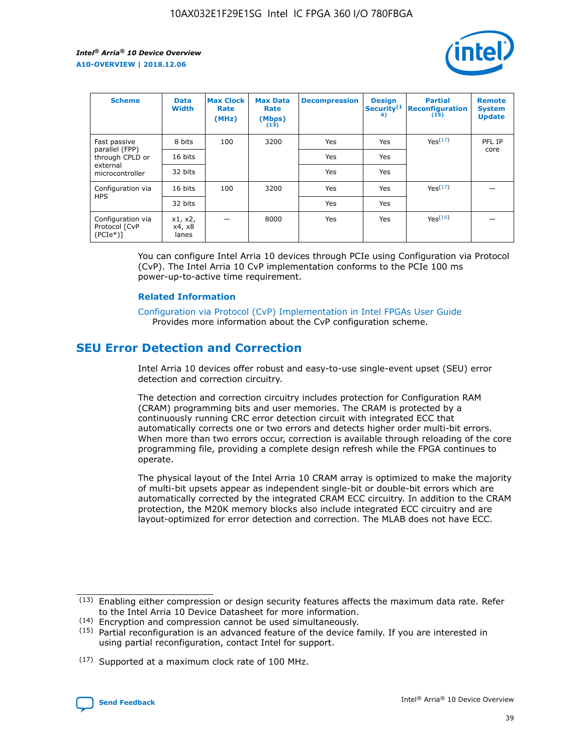

| <b>Scheme</b>                                   | <b>Data</b><br><b>Width</b> | <b>Max Clock</b><br>Rate<br>(MHz) | <b>Max Data</b><br>Rate<br>(Mbps)<br>(13) | <b>Decompression</b> | <b>Design</b><br>Security <sup>(1</sup><br>4) | <b>Partial</b><br><b>Reconfiguration</b><br>(15) | <b>Remote</b><br><b>System</b><br><b>Update</b> |
|-------------------------------------------------|-----------------------------|-----------------------------------|-------------------------------------------|----------------------|-----------------------------------------------|--------------------------------------------------|-------------------------------------------------|
| Fast passive                                    | 8 bits                      | 100                               | 3200                                      | Yes                  | Yes                                           | Yes <sup>(17)</sup>                              | PFL IP                                          |
| parallel (FPP)<br>through CPLD or               | 16 bits                     |                                   |                                           | Yes                  | Yes                                           |                                                  | core                                            |
| external<br>microcontroller                     | 32 bits                     |                                   |                                           | Yes                  | Yes                                           |                                                  |                                                 |
| Configuration via                               | 16 bits                     | 100                               | 3200                                      | Yes                  | Yes                                           | Yes <sup>(17)</sup>                              |                                                 |
| <b>HPS</b>                                      | 32 bits                     |                                   |                                           | Yes                  | Yes                                           |                                                  |                                                 |
| Configuration via<br>Protocol [CvP<br>$(PCIe*)$ | x1, x2,<br>x4, x8<br>lanes  |                                   | 8000                                      | Yes                  | Yes                                           | Yes(16)                                          |                                                 |

You can configure Intel Arria 10 devices through PCIe using Configuration via Protocol (CvP). The Intel Arria 10 CvP implementation conforms to the PCIe 100 ms power-up-to-active time requirement.

#### **Related Information**

[Configuration via Protocol \(CvP\) Implementation in Intel FPGAs User Guide](https://www.intel.com/content/www/us/en/programmable/documentation/dsu1441819344145.html#dsu1442269728522) Provides more information about the CvP configuration scheme.

# **SEU Error Detection and Correction**

Intel Arria 10 devices offer robust and easy-to-use single-event upset (SEU) error detection and correction circuitry.

The detection and correction circuitry includes protection for Configuration RAM (CRAM) programming bits and user memories. The CRAM is protected by a continuously running CRC error detection circuit with integrated ECC that automatically corrects one or two errors and detects higher order multi-bit errors. When more than two errors occur, correction is available through reloading of the core programming file, providing a complete design refresh while the FPGA continues to operate.

The physical layout of the Intel Arria 10 CRAM array is optimized to make the majority of multi-bit upsets appear as independent single-bit or double-bit errors which are automatically corrected by the integrated CRAM ECC circuitry. In addition to the CRAM protection, the M20K memory blocks also include integrated ECC circuitry and are layout-optimized for error detection and correction. The MLAB does not have ECC.

(14) Encryption and compression cannot be used simultaneously.

<sup>(17)</sup> Supported at a maximum clock rate of 100 MHz.



 $(13)$  Enabling either compression or design security features affects the maximum data rate. Refer to the Intel Arria 10 Device Datasheet for more information.

 $(15)$  Partial reconfiguration is an advanced feature of the device family. If you are interested in using partial reconfiguration, contact Intel for support.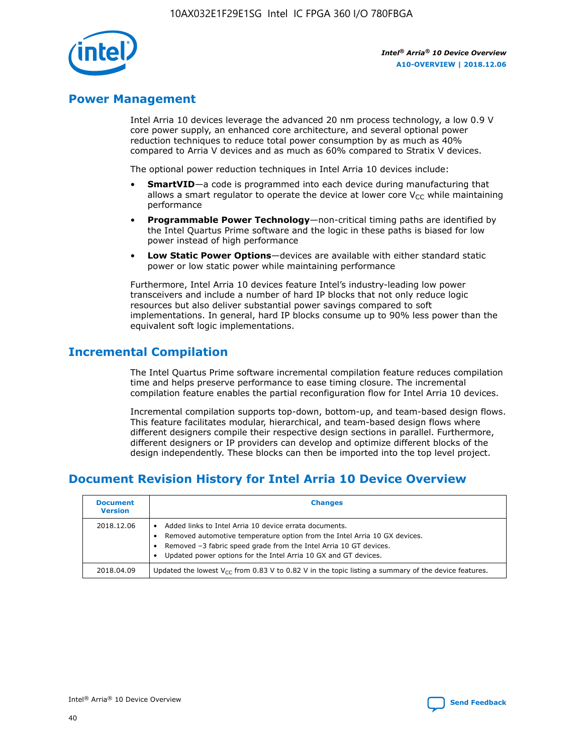

# **Power Management**

Intel Arria 10 devices leverage the advanced 20 nm process technology, a low 0.9 V core power supply, an enhanced core architecture, and several optional power reduction techniques to reduce total power consumption by as much as 40% compared to Arria V devices and as much as 60% compared to Stratix V devices.

The optional power reduction techniques in Intel Arria 10 devices include:

- **SmartVID**—a code is programmed into each device during manufacturing that allows a smart regulator to operate the device at lower core  $V_{CC}$  while maintaining performance
- **Programmable Power Technology**—non-critical timing paths are identified by the Intel Quartus Prime software and the logic in these paths is biased for low power instead of high performance
- **Low Static Power Options**—devices are available with either standard static power or low static power while maintaining performance

Furthermore, Intel Arria 10 devices feature Intel's industry-leading low power transceivers and include a number of hard IP blocks that not only reduce logic resources but also deliver substantial power savings compared to soft implementations. In general, hard IP blocks consume up to 90% less power than the equivalent soft logic implementations.

# **Incremental Compilation**

The Intel Quartus Prime software incremental compilation feature reduces compilation time and helps preserve performance to ease timing closure. The incremental compilation feature enables the partial reconfiguration flow for Intel Arria 10 devices.

Incremental compilation supports top-down, bottom-up, and team-based design flows. This feature facilitates modular, hierarchical, and team-based design flows where different designers compile their respective design sections in parallel. Furthermore, different designers or IP providers can develop and optimize different blocks of the design independently. These blocks can then be imported into the top level project.

# **Document Revision History for Intel Arria 10 Device Overview**

| <b>Document</b><br><b>Version</b> | <b>Changes</b>                                                                                                                                                                                                                                                              |
|-----------------------------------|-----------------------------------------------------------------------------------------------------------------------------------------------------------------------------------------------------------------------------------------------------------------------------|
| 2018.12.06                        | Added links to Intel Arria 10 device errata documents.<br>Removed automotive temperature option from the Intel Arria 10 GX devices.<br>Removed -3 fabric speed grade from the Intel Arria 10 GT devices.<br>Updated power options for the Intel Arria 10 GX and GT devices. |
| 2018.04.09                        | Updated the lowest $V_{CC}$ from 0.83 V to 0.82 V in the topic listing a summary of the device features.                                                                                                                                                                    |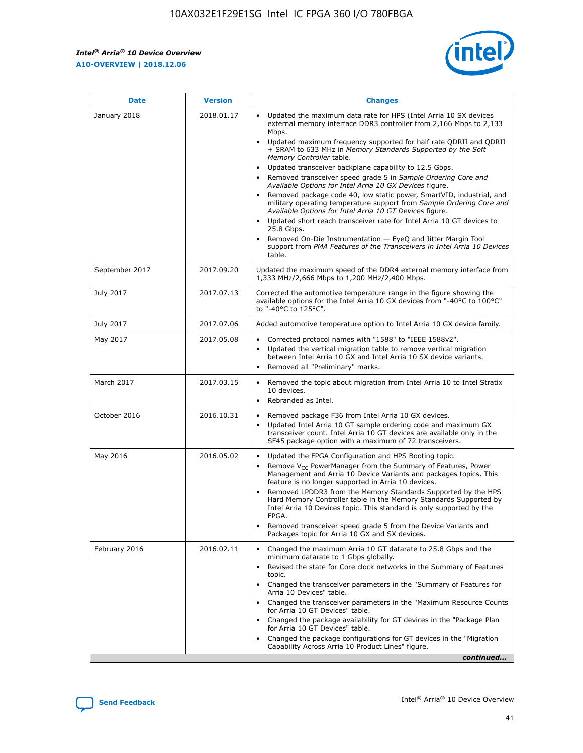F

 $\mathsf{r}$ 



| January 2018<br>Updated the maximum data rate for HPS (Intel Arria 10 SX devices<br>2018.01.17<br>external memory interface DDR3 controller from 2,166 Mbps to 2,133<br>Mbps.<br>$\bullet$<br>+ SRAM to 633 MHz in Memory Standards Supported by the Soft<br>Memory Controller table.<br>Updated transceiver backplane capability to 12.5 Gbps.<br>$\bullet$<br>Removed transceiver speed grade 5 in Sample Ordering Core and<br>Available Options for Intel Arria 10 GX Devices figure.<br>Available Options for Intel Arria 10 GT Devices figure.<br>Updated short reach transceiver rate for Intel Arria 10 GT devices to<br>$\bullet$<br>25.8 Gbps.<br>Removed On-Die Instrumentation - EyeQ and Jitter Margin Tool<br>table.<br>2017.09.20<br>September 2017<br>1,333 MHz/2,666 Mbps to 1,200 MHz/2,400 Mbps.<br>July 2017<br>2017.07.13<br>Corrected the automotive temperature range in the figure showing the<br>available options for the Intel Arria 10 GX devices from "-40°C to 100°C"<br>to "-40°C to 125°C".<br>July 2017<br>2017.07.06<br>Added automotive temperature option to Intel Arria 10 GX device family.<br>2017.05.08<br>Corrected protocol names with "1588" to "IEEE 1588v2".<br>May 2017<br>$\bullet$<br>Updated the vertical migration table to remove vertical migration<br>$\bullet$<br>between Intel Arria 10 GX and Intel Arria 10 SX device variants.<br>Removed all "Preliminary" marks.<br>2017.03.15<br>March 2017<br>Removed the topic about migration from Intel Arria 10 to Intel Stratix<br>10 devices.<br>Rebranded as Intel.<br>$\bullet$<br>October 2016<br>2016.10.31<br>Removed package F36 from Intel Arria 10 GX devices.<br>$\bullet$<br>Updated Intel Arria 10 GT sample ordering code and maximum GX<br>$\bullet$<br>transceiver count. Intel Arria 10 GT devices are available only in the<br>SF45 package option with a maximum of 72 transceivers.<br>May 2016<br>2016.05.02<br>Updated the FPGA Configuration and HPS Booting topic.<br>Remove $V_{CC}$ PowerManager from the Summary of Features, Power<br>Management and Arria 10 Device Variants and packages topics. This<br>feature is no longer supported in Arria 10 devices.<br>Removed LPDDR3 from the Memory Standards Supported by the HPS<br>Hard Memory Controller table in the Memory Standards Supported by<br>Intel Arria 10 Devices topic. This standard is only supported by the<br>FPGA.<br>Removed transceiver speed grade 5 from the Device Variants and<br>Packages topic for Arria 10 GX and SX devices.<br>Changed the maximum Arria 10 GT datarate to 25.8 Gbps and the<br>February 2016<br>2016.02.11<br>minimum datarate to 1 Gbps globally.<br>Revised the state for Core clock networks in the Summary of Features<br>$\bullet$<br>topic.<br>• Changed the transceiver parameters in the "Summary of Features for<br>Arria 10 Devices" table.<br>for Arria 10 GT Devices" table.<br>• Changed the package availability for GT devices in the "Package Plan<br>for Arria 10 GT Devices" table.<br>Changed the package configurations for GT devices in the "Migration"<br>Capability Across Arria 10 Product Lines" figure. | <b>Date</b> | <b>Version</b> | <b>Changes</b>                                                                                                                                                                                                                                                                               |
|----------------------------------------------------------------------------------------------------------------------------------------------------------------------------------------------------------------------------------------------------------------------------------------------------------------------------------------------------------------------------------------------------------------------------------------------------------------------------------------------------------------------------------------------------------------------------------------------------------------------------------------------------------------------------------------------------------------------------------------------------------------------------------------------------------------------------------------------------------------------------------------------------------------------------------------------------------------------------------------------------------------------------------------------------------------------------------------------------------------------------------------------------------------------------------------------------------------------------------------------------------------------------------------------------------------------------------------------------------------------------------------------------------------------------------------------------------------------------------------------------------------------------------------------------------------------------------------------------------------------------------------------------------------------------------------------------------------------------------------------------------------------------------------------------------------------------------------------------------------------------------------------------------------------------------------------------------------------------------------------------------------------------------------------------------------------------------------------------------------------------------------------------------------------------------------------------------------------------------------------------------------------------------------------------------------------------------------------------------------------------------------------------------------------------------------------------------------------------------------------------------------------------------------------------------------------------------------------------------------------------------------------------------------------------------------------------------------------------------------------------------------------------------------------------------------------------------------------------------------------------------------------------------------------------------------------------------------------------------------------------------------------------------------------------------------------------------------------------------------------------------------------------------------|-------------|----------------|----------------------------------------------------------------------------------------------------------------------------------------------------------------------------------------------------------------------------------------------------------------------------------------------|
|                                                                                                                                                                                                                                                                                                                                                                                                                                                                                                                                                                                                                                                                                                                                                                                                                                                                                                                                                                                                                                                                                                                                                                                                                                                                                                                                                                                                                                                                                                                                                                                                                                                                                                                                                                                                                                                                                                                                                                                                                                                                                                                                                                                                                                                                                                                                                                                                                                                                                                                                                                                                                                                                                                                                                                                                                                                                                                                                                                                                                                                                                                                                                                |             |                | Updated maximum frequency supported for half rate QDRII and QDRII<br>Removed package code 40, low static power, SmartVID, industrial, and<br>military operating temperature support from Sample Ordering Core and<br>support from PMA Features of the Transceivers in Intel Arria 10 Devices |
|                                                                                                                                                                                                                                                                                                                                                                                                                                                                                                                                                                                                                                                                                                                                                                                                                                                                                                                                                                                                                                                                                                                                                                                                                                                                                                                                                                                                                                                                                                                                                                                                                                                                                                                                                                                                                                                                                                                                                                                                                                                                                                                                                                                                                                                                                                                                                                                                                                                                                                                                                                                                                                                                                                                                                                                                                                                                                                                                                                                                                                                                                                                                                                |             |                | Updated the maximum speed of the DDR4 external memory interface from                                                                                                                                                                                                                         |
|                                                                                                                                                                                                                                                                                                                                                                                                                                                                                                                                                                                                                                                                                                                                                                                                                                                                                                                                                                                                                                                                                                                                                                                                                                                                                                                                                                                                                                                                                                                                                                                                                                                                                                                                                                                                                                                                                                                                                                                                                                                                                                                                                                                                                                                                                                                                                                                                                                                                                                                                                                                                                                                                                                                                                                                                                                                                                                                                                                                                                                                                                                                                                                |             |                |                                                                                                                                                                                                                                                                                              |
|                                                                                                                                                                                                                                                                                                                                                                                                                                                                                                                                                                                                                                                                                                                                                                                                                                                                                                                                                                                                                                                                                                                                                                                                                                                                                                                                                                                                                                                                                                                                                                                                                                                                                                                                                                                                                                                                                                                                                                                                                                                                                                                                                                                                                                                                                                                                                                                                                                                                                                                                                                                                                                                                                                                                                                                                                                                                                                                                                                                                                                                                                                                                                                |             |                |                                                                                                                                                                                                                                                                                              |
|                                                                                                                                                                                                                                                                                                                                                                                                                                                                                                                                                                                                                                                                                                                                                                                                                                                                                                                                                                                                                                                                                                                                                                                                                                                                                                                                                                                                                                                                                                                                                                                                                                                                                                                                                                                                                                                                                                                                                                                                                                                                                                                                                                                                                                                                                                                                                                                                                                                                                                                                                                                                                                                                                                                                                                                                                                                                                                                                                                                                                                                                                                                                                                |             |                |                                                                                                                                                                                                                                                                                              |
|                                                                                                                                                                                                                                                                                                                                                                                                                                                                                                                                                                                                                                                                                                                                                                                                                                                                                                                                                                                                                                                                                                                                                                                                                                                                                                                                                                                                                                                                                                                                                                                                                                                                                                                                                                                                                                                                                                                                                                                                                                                                                                                                                                                                                                                                                                                                                                                                                                                                                                                                                                                                                                                                                                                                                                                                                                                                                                                                                                                                                                                                                                                                                                |             |                |                                                                                                                                                                                                                                                                                              |
|                                                                                                                                                                                                                                                                                                                                                                                                                                                                                                                                                                                                                                                                                                                                                                                                                                                                                                                                                                                                                                                                                                                                                                                                                                                                                                                                                                                                                                                                                                                                                                                                                                                                                                                                                                                                                                                                                                                                                                                                                                                                                                                                                                                                                                                                                                                                                                                                                                                                                                                                                                                                                                                                                                                                                                                                                                                                                                                                                                                                                                                                                                                                                                |             |                |                                                                                                                                                                                                                                                                                              |
|                                                                                                                                                                                                                                                                                                                                                                                                                                                                                                                                                                                                                                                                                                                                                                                                                                                                                                                                                                                                                                                                                                                                                                                                                                                                                                                                                                                                                                                                                                                                                                                                                                                                                                                                                                                                                                                                                                                                                                                                                                                                                                                                                                                                                                                                                                                                                                                                                                                                                                                                                                                                                                                                                                                                                                                                                                                                                                                                                                                                                                                                                                                                                                |             |                |                                                                                                                                                                                                                                                                                              |
|                                                                                                                                                                                                                                                                                                                                                                                                                                                                                                                                                                                                                                                                                                                                                                                                                                                                                                                                                                                                                                                                                                                                                                                                                                                                                                                                                                                                                                                                                                                                                                                                                                                                                                                                                                                                                                                                                                                                                                                                                                                                                                                                                                                                                                                                                                                                                                                                                                                                                                                                                                                                                                                                                                                                                                                                                                                                                                                                                                                                                                                                                                                                                                |             |                | Changed the transceiver parameters in the "Maximum Resource Counts"<br>continued                                                                                                                                                                                                             |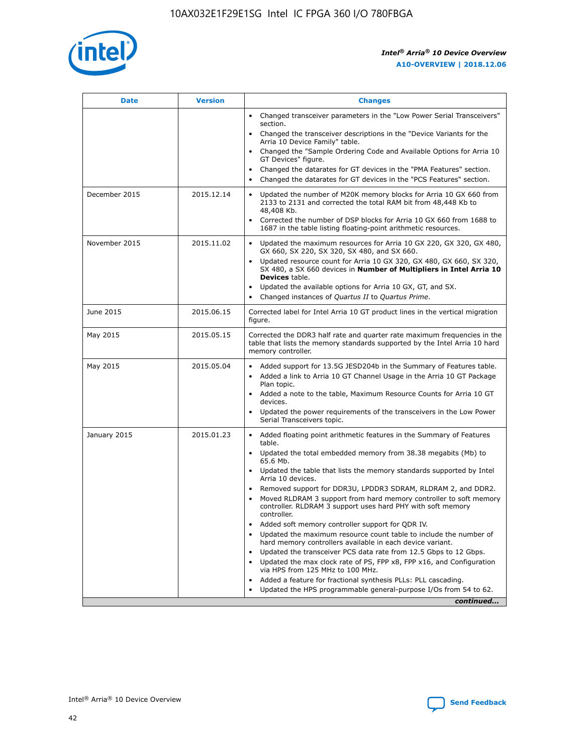

| <b>Date</b>   | <b>Version</b> | <b>Changes</b>                                                                                                                                                               |
|---------------|----------------|------------------------------------------------------------------------------------------------------------------------------------------------------------------------------|
|               |                | • Changed transceiver parameters in the "Low Power Serial Transceivers"<br>section.                                                                                          |
|               |                | Changed the transceiver descriptions in the "Device Variants for the<br>Arria 10 Device Family" table.                                                                       |
|               |                | Changed the "Sample Ordering Code and Available Options for Arria 10<br>GT Devices" figure.                                                                                  |
|               |                | Changed the datarates for GT devices in the "PMA Features" section.                                                                                                          |
|               |                | Changed the datarates for GT devices in the "PCS Features" section.                                                                                                          |
| December 2015 | 2015.12.14     | Updated the number of M20K memory blocks for Arria 10 GX 660 from<br>2133 to 2131 and corrected the total RAM bit from 48,448 Kb to<br>48,408 Kb.                            |
|               |                | Corrected the number of DSP blocks for Arria 10 GX 660 from 1688 to<br>$\bullet$<br>1687 in the table listing floating-point arithmetic resources.                           |
| November 2015 | 2015.11.02     | Updated the maximum resources for Arria 10 GX 220, GX 320, GX 480,<br>GX 660, SX 220, SX 320, SX 480, and SX 660.                                                            |
|               |                | • Updated resource count for Arria 10 GX 320, GX 480, GX 660, SX 320,<br>SX 480, a SX 660 devices in Number of Multipliers in Intel Arria 10<br><b>Devices</b> table.        |
|               |                | Updated the available options for Arria 10 GX, GT, and SX.                                                                                                                   |
|               |                | Changed instances of Quartus II to Quartus Prime.<br>$\bullet$                                                                                                               |
| June 2015     | 2015.06.15     | Corrected label for Intel Arria 10 GT product lines in the vertical migration<br>figure.                                                                                     |
| May 2015      | 2015.05.15     | Corrected the DDR3 half rate and quarter rate maximum frequencies in the<br>table that lists the memory standards supported by the Intel Arria 10 hard<br>memory controller. |
| May 2015      | 2015.05.04     | • Added support for 13.5G JESD204b in the Summary of Features table.<br>Added a link to Arria 10 GT Channel Usage in the Arria 10 GT Package<br>$\bullet$<br>Plan topic.     |
|               |                | • Added a note to the table, Maximum Resource Counts for Arria 10 GT<br>devices.                                                                                             |
|               |                | • Updated the power requirements of the transceivers in the Low Power<br>Serial Transceivers topic.                                                                          |
| January 2015  | 2015.01.23     | • Added floating point arithmetic features in the Summary of Features<br>table.                                                                                              |
|               |                | • Updated the total embedded memory from 38.38 megabits (Mb) to<br>65.6 Mb.                                                                                                  |
|               |                | • Updated the table that lists the memory standards supported by Intel<br>Arria 10 devices.                                                                                  |
|               |                | Removed support for DDR3U, LPDDR3 SDRAM, RLDRAM 2, and DDR2.                                                                                                                 |
|               |                | Moved RLDRAM 3 support from hard memory controller to soft memory<br>controller. RLDRAM 3 support uses hard PHY with soft memory<br>controller.                              |
|               |                | Added soft memory controller support for QDR IV.<br>$\bullet$                                                                                                                |
|               |                | Updated the maximum resource count table to include the number of<br>$\bullet$<br>hard memory controllers available in each device variant.                                  |
|               |                | Updated the transceiver PCS data rate from 12.5 Gbps to 12 Gbps.<br>$\bullet$                                                                                                |
|               |                | Updated the max clock rate of PS, FPP x8, FPP x16, and Configuration<br>via HPS from 125 MHz to 100 MHz.                                                                     |
|               |                | Added a feature for fractional synthesis PLLs: PLL cascading.<br>$\bullet$                                                                                                   |
|               |                | Updated the HPS programmable general-purpose I/Os from 54 to 62.                                                                                                             |
|               |                | continued                                                                                                                                                                    |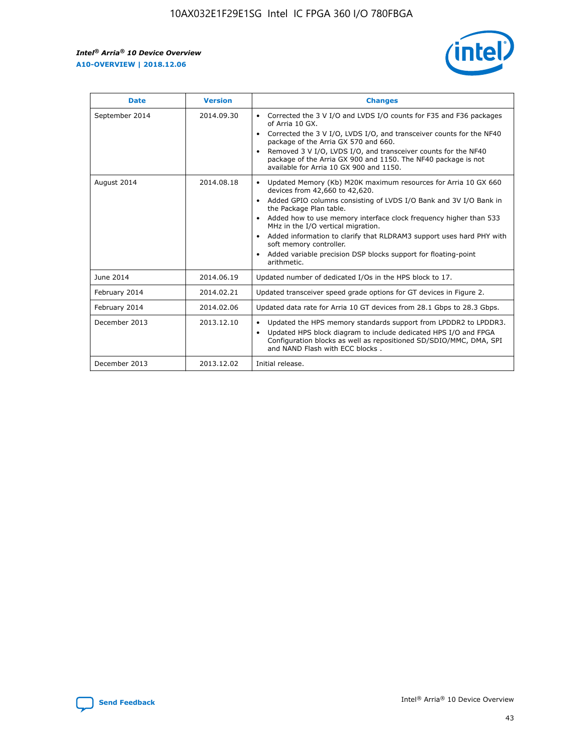

| <b>Date</b>    | <b>Version</b> | <b>Changes</b>                                                                                                                                                                                                                                                                                                                                                                                                                                                                                                                                                   |
|----------------|----------------|------------------------------------------------------------------------------------------------------------------------------------------------------------------------------------------------------------------------------------------------------------------------------------------------------------------------------------------------------------------------------------------------------------------------------------------------------------------------------------------------------------------------------------------------------------------|
| September 2014 | 2014.09.30     | Corrected the 3 V I/O and LVDS I/O counts for F35 and F36 packages<br>$\bullet$<br>of Arria 10 GX.<br>Corrected the 3 V I/O, LVDS I/O, and transceiver counts for the NF40<br>$\bullet$<br>package of the Arria GX 570 and 660.<br>Removed 3 V I/O, LVDS I/O, and transceiver counts for the NF40<br>$\bullet$<br>package of the Arria GX 900 and 1150. The NF40 package is not<br>available for Arria 10 GX 900 and 1150.                                                                                                                                       |
| August 2014    | 2014.08.18     | Updated Memory (Kb) M20K maximum resources for Arria 10 GX 660<br>$\bullet$<br>devices from 42,660 to 42,620.<br>Added GPIO columns consisting of LVDS I/O Bank and 3V I/O Bank in<br>$\bullet$<br>the Package Plan table.<br>Added how to use memory interface clock frequency higher than 533<br>$\bullet$<br>MHz in the I/O vertical migration.<br>Added information to clarify that RLDRAM3 support uses hard PHY with<br>$\bullet$<br>soft memory controller.<br>Added variable precision DSP blocks support for floating-point<br>$\bullet$<br>arithmetic. |
| June 2014      | 2014.06.19     | Updated number of dedicated I/Os in the HPS block to 17.                                                                                                                                                                                                                                                                                                                                                                                                                                                                                                         |
| February 2014  | 2014.02.21     | Updated transceiver speed grade options for GT devices in Figure 2.                                                                                                                                                                                                                                                                                                                                                                                                                                                                                              |
| February 2014  | 2014.02.06     | Updated data rate for Arria 10 GT devices from 28.1 Gbps to 28.3 Gbps.                                                                                                                                                                                                                                                                                                                                                                                                                                                                                           |
| December 2013  | 2013.12.10     | Updated the HPS memory standards support from LPDDR2 to LPDDR3.<br>٠<br>Updated HPS block diagram to include dedicated HPS I/O and FPGA<br>$\bullet$<br>Configuration blocks as well as repositioned SD/SDIO/MMC, DMA, SPI<br>and NAND Flash with ECC blocks.                                                                                                                                                                                                                                                                                                    |
| December 2013  | 2013.12.02     | Initial release.                                                                                                                                                                                                                                                                                                                                                                                                                                                                                                                                                 |